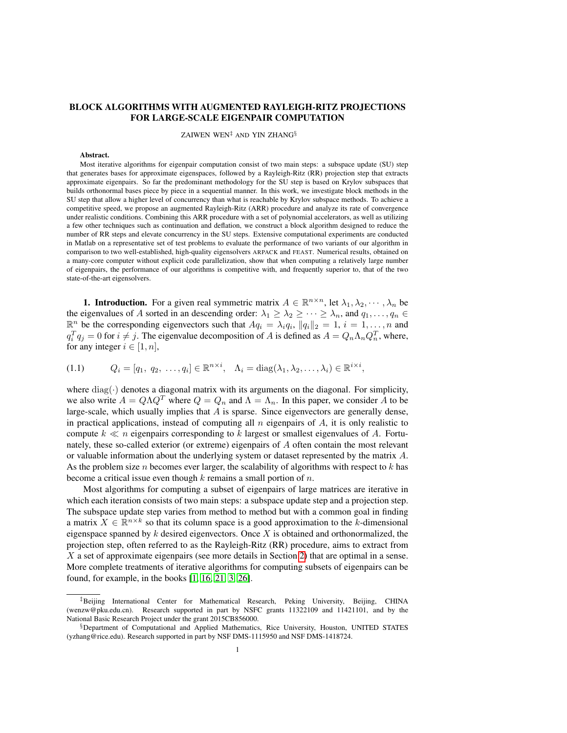# BLOCK ALGORITHMS WITH AUGMENTED RAYLEIGH-RITZ PROJECTIONS FOR LARGE-SCALE EIGENPAIR COMPUTATION

ZAIWEN WEN‡ AND YIN ZHANG§

#### Abstract.

Most iterative algorithms for eigenpair computation consist of two main steps: a subspace update (SU) step that generates bases for approximate eigenspaces, followed by a Rayleigh-Ritz (RR) projection step that extracts approximate eigenpairs. So far the predominant methodology for the SU step is based on Krylov subspaces that builds orthonormal bases piece by piece in a sequential manner. In this work, we investigate block methods in the SU step that allow a higher level of concurrency than what is reachable by Krylov subspace methods. To achieve a competitive speed, we propose an augmented Rayleigh-Ritz (ARR) procedure and analyze its rate of convergence under realistic conditions. Combining this ARR procedure with a set of polynomial accelerators, as well as utilizing a few other techniques such as continuation and deflation, we construct a block algorithm designed to reduce the number of RR steps and elevate concurrency in the SU steps. Extensive computational experiments are conducted in Matlab on a representative set of test problems to evaluate the performance of two variants of our algorithm in comparison to two well-established, high-quality eigensolvers ARPACK and FEAST. Numerical results, obtained on a many-core computer without explicit code parallelization, show that when computing a relatively large number of eigenpairs, the performance of our algorithms is competitive with, and frequently superior to, that of the two state-of-the-art eigensolvers.

**1. Introduction.** For a given real symmetric matrix  $A \in \mathbb{R}^{n \times n}$ , let  $\lambda_1, \lambda_2, \dots, \lambda_n$  be the eigenvalues of A sorted in an descending order:  $\lambda_1 \geq \lambda_2 \geq \cdots \geq \lambda_n$ , and  $q_1, \ldots, q_n \in$  $\mathbb{R}^n$  be the corresponding eigenvectors such that  $Aq_i = \lambda_i q_i$ ,  $||q_i||_2 = 1$ ,  $i = 1, \ldots, n$  and  $q_i^T q_j = 0$  for  $i \neq j$ . The eigenvalue decomposition of A is defined as  $A = Q_n \Lambda_n Q_n^T$ , where, for any integer  $i \in [1, n]$ ,

$$
(1.1) \qquad Q_i = [q_1, q_2, \dots, q_i] \in \mathbb{R}^{n \times i}, \quad \Lambda_i = \text{diag}(\lambda_1, \lambda_2, \dots, \lambda_i) \in \mathbb{R}^{i \times i},
$$

where  $diag(\cdot)$  denotes a diagonal matrix with its arguments on the diagonal. For simplicity, we also write  $A = Q\Lambda Q^T$  where  $Q = Q_n$  and  $\Lambda = \Lambda_n$ . In this paper, we consider A to be large-scale, which usually implies that  $A$  is sparse. Since eigenvectors are generally dense, in practical applications, instead of computing all  $n$  eigenpairs of  $A$ , it is only realistic to compute  $k \ll n$  eigenpairs corresponding to k largest or smallest eigenvalues of A. Fortunately, these so-called exterior (or extreme) eigenpairs of A often contain the most relevant or valuable information about the underlying system or dataset represented by the matrix A. As the problem size n becomes ever larger, the scalability of algorithms with respect to  $k$  has become a critical issue even though  $k$  remains a small portion of  $n$ .

Most algorithms for computing a subset of eigenpairs of large matrices are iterative in which each iteration consists of two main steps: a subspace update step and a projection step. The subspace update step varies from method to method but with a common goal in finding a matrix  $X \in \mathbb{R}^{n \times k}$  so that its column space is a good approximation to the k-dimensional eigenspace spanned by  $k$  desired eigenvectors. Once  $X$  is obtained and orthonormalized, the projection step, often referred to as the Rayleigh-Ritz (RR) procedure, aims to extract from X a set of approximate eigenpairs (see more details in Section [2\)](#page-2-0) that are optimal in a sense. More complete treatments of iterative algorithms for computing subsets of eigenpairs can be found, for example, in the books [\[1,](#page-29-0) [16,](#page-32-0) [21,](#page-32-1) [3,](#page-30-0) [26\]](#page-32-2).

<sup>‡</sup>Beijing International Center for Mathematical Research, Peking University, Beijing, CHINA (wenzw@pku.edu.cn). Research supported in part by NSFC grants 11322109 and 11421101, and by the National Basic Research Project under the grant 2015CB856000.

<sup>§</sup>Department of Computational and Applied Mathematics, Rice University, Houston, UNITED STATES (yzhang@rice.edu). Research supported in part by NSF DMS-1115950 and NSF DMS-1418724.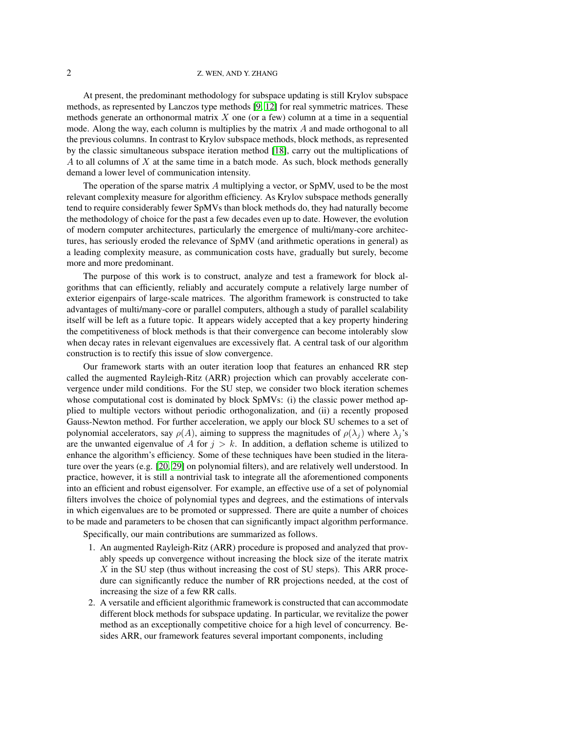## 2 Z. WEN, AND Y. ZHANG

At present, the predominant methodology for subspace updating is still Krylov subspace methods, as represented by Lanczos type methods [\[9,](#page-31-0) [12\]](#page-32-3) for real symmetric matrices. These methods generate an orthonormal matrix  $X$  one (or a few) column at a time in a sequential mode. Along the way, each column is multiplies by the matrix  $A$  and made orthogonal to all the previous columns. In contrast to Krylov subspace methods, block methods, as represented by the classic simultaneous subspace iteration method [\[18\]](#page-32-4), carry out the multiplications of A to all columns of  $X$  at the same time in a batch mode. As such, block methods generally demand a lower level of communication intensity.

The operation of the sparse matrix  $A$  multiplying a vector, or SpMV, used to be the most relevant complexity measure for algorithm efficiency. As Krylov subspace methods generally tend to require considerably fewer SpMVs than block methods do, they had naturally become the methodology of choice for the past a few decades even up to date. However, the evolution of modern computer architectures, particularly the emergence of multi/many-core architectures, has seriously eroded the relevance of SpMV (and arithmetic operations in general) as a leading complexity measure, as communication costs have, gradually but surely, become more and more predominant.

The purpose of this work is to construct, analyze and test a framework for block algorithms that can efficiently, reliably and accurately compute a relatively large number of exterior eigenpairs of large-scale matrices. The algorithm framework is constructed to take advantages of multi/many-core or parallel computers, although a study of parallel scalability itself will be left as a future topic. It appears widely accepted that a key property hindering the competitiveness of block methods is that their convergence can become intolerably slow when decay rates in relevant eigenvalues are excessively flat. A central task of our algorithm construction is to rectify this issue of slow convergence.

Our framework starts with an outer iteration loop that features an enhanced RR step called the augmented Rayleigh-Ritz (ARR) projection which can provably accelerate convergence under mild conditions. For the SU step, we consider two block iteration schemes whose computational cost is dominated by block SpMVs: (i) the classic power method applied to multiple vectors without periodic orthogonalization, and (ii) a recently proposed Gauss-Newton method. For further acceleration, we apply our block SU schemes to a set of polynomial accelerators, say  $\rho(A)$ , aiming to suppress the magnitudes of  $\rho(\lambda_i)$  where  $\lambda_i$ 's are the unwanted eigenvalue of A for  $j > k$ . In addition, a deflation scheme is utilized to enhance the algorithm's efficiency. Some of these techniques have been studied in the literature over the years (e.g. [\[20,](#page-32-5) [29\]](#page-32-6) on polynomial filters), and are relatively well understood. In practice, however, it is still a nontrivial task to integrate all the aforementioned components into an efficient and robust eigensolver. For example, an effective use of a set of polynomial filters involves the choice of polynomial types and degrees, and the estimations of intervals in which eigenvalues are to be promoted or suppressed. There are quite a number of choices to be made and parameters to be chosen that can significantly impact algorithm performance.

Specifically, our main contributions are summarized as follows.

- 1. An augmented Rayleigh-Ritz (ARR) procedure is proposed and analyzed that provably speeds up convergence without increasing the block size of the iterate matrix  $X$  in the SU step (thus without increasing the cost of SU steps). This ARR procedure can significantly reduce the number of RR projections needed, at the cost of increasing the size of a few RR calls.
- 2. A versatile and efficient algorithmic framework is constructed that can accommodate different block methods for subspace updating. In particular, we revitalize the power method as an exceptionally competitive choice for a high level of concurrency. Besides ARR, our framework features several important components, including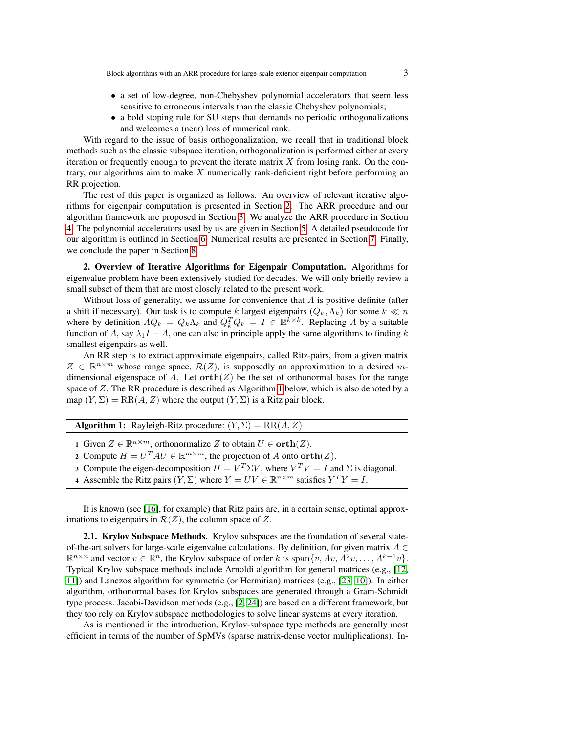- a set of low-degree, non-Chebyshev polynomial accelerators that seem less sensitive to erroneous intervals than the classic Chebyshev polynomials;
- a bold stoping rule for SU steps that demands no periodic orthogonalizations and welcomes a (near) loss of numerical rank.

With regard to the issue of basis orthogonalization, we recall that in traditional block methods such as the classic subspace iteration, orthogonalization is performed either at every iteration or frequently enough to prevent the iterate matrix  $X$  from losing rank. On the contrary, our algorithms aim to make  $X$  numerically rank-deficient right before performing an RR projection.

The rest of this paper is organized as follows. An overview of relevant iterative algorithms for eigenpair computation is presented in Section [2.](#page-2-0) The ARR procedure and our algorithm framework are proposed in Section [3.](#page-6-0) We analyze the ARR procedure in Section [4.](#page-8-0) The polynomial accelerators used by us are given in Section [5.](#page-14-0) A detailed pseudocode for our algorithm is outlined in Section [6.](#page-15-0) Numerical results are presented in Section [7.](#page-18-0) Finally, we conclude the paper in Section [8.](#page-27-0)

<span id="page-2-0"></span>2. Overview of Iterative Algorithms for Eigenpair Computation. Algorithms for eigenvalue problem have been extensively studied for decades. We will only briefly review a small subset of them that are most closely related to the present work.

Without loss of generality, we assume for convenience that  $A$  is positive definite (after a shift if necessary). Our task is to compute k largest eigenpairs  $(Q_k, \Lambda_k)$  for some  $k \ll n$ where by definition  $AQ_k = Q_k \Lambda_k$  and  $Q_k^T Q_k = I \in \mathbb{R}^{k \times k}$ . Replacing A by a suitable function of A, say  $\lambda_1 I - A$ , one can also in principle apply the same algorithms to finding k smallest eigenpairs as well.

An RR step is to extract approximate eigenpairs, called Ritz-pairs, from a given matrix  $Z \in \mathbb{R}^{n \times m}$  whose range space,  $\mathcal{R}(Z)$ , is supposedly an approximation to a desired mdimensional eigenspace of A. Let  $orth(Z)$  be the set of orthonormal bases for the range space of Z. The RR procedure is described as Algorithm [1](#page-2-1) below, which is also denoted by a map  $(Y, \Sigma) = RR(A, Z)$  where the output  $(Y, \Sigma)$  is a Ritz pair block.

|  | <b>Algorithm 1:</b> Rayleigh-Ritz procedure: $(Y, \Sigma) = RR(A, Z)$ |  |  |
|--|-----------------------------------------------------------------------|--|--|
|--|-----------------------------------------------------------------------|--|--|

<span id="page-2-1"></span>1 Given  $Z \in \mathbb{R}^{n \times m}$ , orthonormalize Z to obtain  $U \in \textbf{orth}(Z)$ .

- 2 Compute  $H = U^T A U \in \mathbb{R}^{m \times m}$ , the projection of A onto  $\text{orth}(Z)$ .
- 3 Compute the eigen-decomposition  $H = V^T \Sigma V$ , where  $V^T V = I$  and  $\Sigma$  is diagonal.
- 4 Assemble the Ritz pairs  $(Y, \Sigma)$  where  $Y = UV \in \mathbb{R}^{n \times m}$  satisfies  $Y^T Y = I$ .

It is known (see [\[16\]](#page-32-0), for example) that Ritz pairs are, in a certain sense, optimal approximations to eigenpairs in  $\mathcal{R}(Z)$ , the column space of Z.

2.1. Krylov Subspace Methods. Krylov subspaces are the foundation of several stateof-the-art solvers for large-scale eigenvalue calculations. By definition, for given matrix  $A \in$  $\mathbb{R}^{n \times n}$  and vector  $v \in \mathbb{R}^n$ , the Krylov subspace of order k is  $\text{span}\{v, Av, A^2v, \dots, A^{k-1}v\}.$ Typical Krylov subspace methods include Arnoldi algorithm for general matrices (e.g., [\[12,](#page-32-3) [11\]](#page-31-1)) and Lanczos algorithm for symmetric (or Hermitian) matrices (e.g., [\[23,](#page-32-7) [10\]](#page-31-2)). In either algorithm, orthonormal bases for Krylov subspaces are generated through a Gram-Schmidt type process. Jacobi-Davidson methods (e.g., [\[2,](#page-29-1) [24\]](#page-32-8)) are based on a different framework, but they too rely on Krylov subspace methodologies to solve linear systems at every iteration.

As is mentioned in the introduction, Krylov-subspace type methods are generally most efficient in terms of the number of SpMVs (sparse matrix-dense vector multiplications). In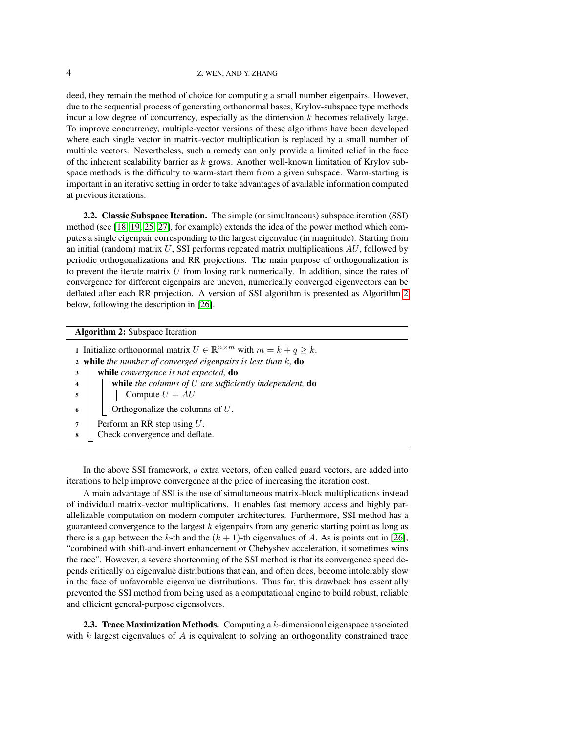deed, they remain the method of choice for computing a small number eigenpairs. However, due to the sequential process of generating orthonormal bases, Krylov-subspace type methods incur a low degree of concurrency, especially as the dimension  $k$  becomes relatively large. To improve concurrency, multiple-vector versions of these algorithms have been developed where each single vector in matrix-vector multiplication is replaced by a small number of multiple vectors. Nevertheless, such a remedy can only provide a limited relief in the face of the inherent scalability barrier as  $k$  grows. Another well-known limitation of Krylov subspace methods is the difficulty to warm-start them from a given subspace. Warm-starting is important in an iterative setting in order to take advantages of available information computed at previous iterations.

2.2. Classic Subspace Iteration. The simple (or simultaneous) subspace iteration (SSI) method (see [\[18,](#page-32-4) [19,](#page-32-9) [25,](#page-32-10) [27\]](#page-32-11), for example) extends the idea of the power method which computes a single eigenpair corresponding to the largest eigenvalue (in magnitude). Starting from an initial (random) matrix  $U$ , SSI performs repeated matrix multiplications  $AU$ , followed by periodic orthogonalizations and RR projections. The main purpose of orthogonalization is to prevent the iterate matrix  $U$  from losing rank numerically. In addition, since the rates of convergence for different eigenpairs are uneven, numerically converged eigenvectors can be deflated after each RR projection. A version of SSI algorithm is presented as Algorithm [2](#page-3-0) below, following the description in [\[26\]](#page-32-2).

### <span id="page-3-0"></span>Algorithm 2: Subspace Iteration

1 Initialize orthonormal matrix  $U \in \mathbb{R}^{n \times m}$  with  $m = k + q \geq k$ . <sup>2</sup> while *the number of converged eigenpairs is less than* k*,* do <sup>3</sup> while *convergence is not expected,* do <sup>4</sup> while *the columns of* U *are sufficiently independent,* do  $5 \mid \cdot \cdot \cdot \cdot \cdot U = AU$  $\bullet$  | | Orthogonalize the columns of U. 7 | Perform an RR step using  $U$ . <sup>8</sup> Check convergence and deflate.

In the above SSI framework,  $q$  extra vectors, often called guard vectors, are added into iterations to help improve convergence at the price of increasing the iteration cost.

A main advantage of SSI is the use of simultaneous matrix-block multiplications instead of individual matrix-vector multiplications. It enables fast memory access and highly parallelizable computation on modern computer architectures. Furthermore, SSI method has a guaranteed convergence to the largest  $k$  eigenpairs from any generic starting point as long as there is a gap between the k-th and the  $(k + 1)$ -th eigenvalues of A. As is points out in [\[26\]](#page-32-2), "combined with shift-and-invert enhancement or Chebyshev acceleration, it sometimes wins the race". However, a severe shortcoming of the SSI method is that its convergence speed depends critically on eigenvalue distributions that can, and often does, become intolerably slow in the face of unfavorable eigenvalue distributions. Thus far, this drawback has essentially prevented the SSI method from being used as a computational engine to build robust, reliable and efficient general-purpose eigensolvers.

**2.3. Trace Maximization Methods.** Computing a  $k$ -dimensional eigenspace associated with  $k$  largest eigenvalues of  $A$  is equivalent to solving an orthogonality constrained trace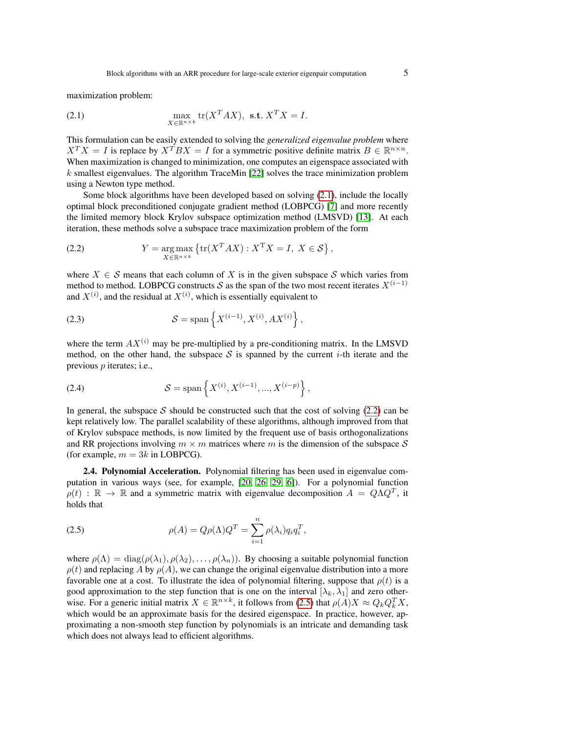<span id="page-4-0"></span>maximization problem:

(2.1) 
$$
\max_{X \in \mathbb{R}^{n \times k}} \text{tr}(X^T A X), \text{ s.t. } X^T X = I.
$$

This formulation can be easily extended to solving the *generalized eigenvalue problem* where  $X^T X = I$  is replace by  $X^T B X = I$  for a symmetric positive definite matrix  $B \in \mathbb{R}^{n \times n}$ . When maximization is changed to minimization, one computes an eigenspace associated with  $k$  smallest eigenvalues. The algorithm TraceMin [\[22\]](#page-32-12) solves the trace minimization problem using a Newton type method.

Some block algorithms have been developed based on solving [\(2.1\)](#page-4-0), include the locally optimal block preconditioned conjugate gradient method (LOBPCG) [\[7\]](#page-31-3) and more recently the limited memory block Krylov subspace optimization method (LMSVD) [\[13\]](#page-32-13). At each iteration, these methods solve a subspace trace maximization problem of the form

<span id="page-4-1"></span>(2.2) 
$$
Y = \underset{X \in \mathbb{R}^{n \times k}}{\arg \max} \left\{ \text{tr}(X^T A X) : X^T X = I, \ X \in \mathcal{S} \right\},
$$

where  $X \in \mathcal{S}$  means that each column of X is in the given subspace  $\mathcal{S}$  which varies from method to method. LOBPCG constructs S as the span of the two most recent iterates  $X^{(i-1)}$ and  $X^{(i)}$ , and the residual at  $X^{(i)}$ , which is essentially equivalent to

<span id="page-4-3"></span>(2.3) 
$$
S = \text{span}\left\{X^{(i-1)}, X^{(i)}, AX^{(i)}\right\},\,
$$

where the term  $AX^{(i)}$  may be pre-multiplied by a pre-conditioning matrix. In the LMSVD method, on the other hand, the subspace S is spanned by the current i-th iterate and the previous p iterates; i.e.,

<span id="page-4-4"></span>(2.4) 
$$
S = \text{span}\left\{X^{(i)}, X^{(i-1)}, ..., X^{(i-p)}\right\},\,
$$

In general, the subspace S should be constructed such that the cost of solving  $(2.2)$  can be kept relatively low. The parallel scalability of these algorithms, although improved from that of Krylov subspace methods, is now limited by the frequent use of basis orthogonalizations and RR projections involving  $m \times m$  matrices where m is the dimension of the subspace S (for example,  $m = 3k$  in LOBPCG).

2.4. Polynomial Acceleration. Polynomial filtering has been used in eigenvalue computation in various ways (see, for example, [\[20,](#page-32-5) [26,](#page-32-2) [29,](#page-32-6) [6\]](#page-31-4)). For a polynomial function  $\rho(t)$  :  $\mathbb{R} \to \mathbb{R}$  and a symmetric matrix with eigenvalue decomposition  $A = Q \Lambda Q^T$ , it holds that

<span id="page-4-2"></span>(2.5) 
$$
\rho(A) = Q\rho(\Lambda)Q^T = \sum_{i=1}^n \rho(\lambda_i)q_i q_i^T,
$$

where  $\rho(\Lambda) = \text{diag}(\rho(\lambda_1), \rho(\lambda_2), \dots, \rho(\lambda_n))$ . By choosing a suitable polynomial function  $\rho(t)$  and replacing A by  $\rho(A)$ , we can change the original eigenvalue distribution into a more favorable one at a cost. To illustrate the idea of polynomial filtering, suppose that  $\rho(t)$  is a good approximation to the step function that is one on the interval  $[\lambda_k, \lambda_1]$  and zero otherwise. For a generic initial matrix  $X \in \mathbb{R}^{n \times k}$ , it follows from [\(2.5\)](#page-4-2) that  $\rho(A)X \approx Q_k Q_k^T X$ , which would be an approximate basis for the desired eigenspace. In practice, however, approximating a non-smooth step function by polynomials is an intricate and demanding task which does not always lead to efficient algorithms.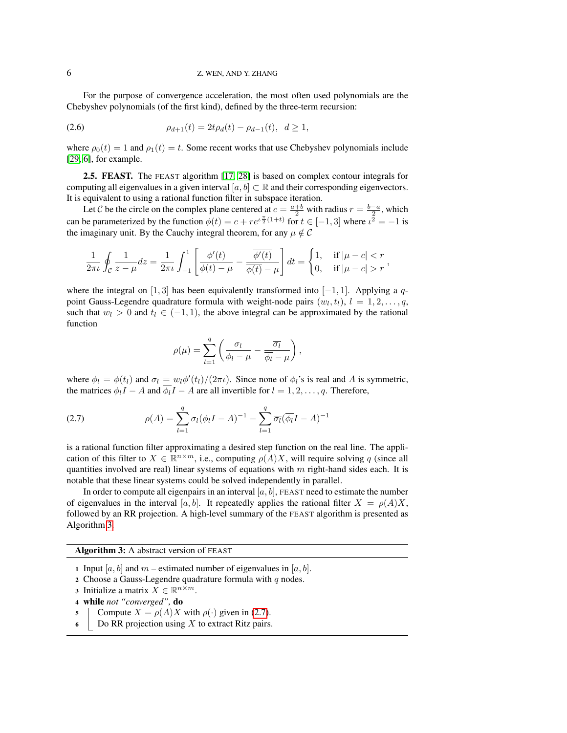#### 6 Z. WEN, AND Y. ZHANG

<span id="page-5-2"></span>For the purpose of convergence acceleration, the most often used polynomials are the Chebyshev polynomials (of the first kind), defined by the three-term recursion:

$$
\rho_{d+1}(t) = 2t\rho_d(t) - \rho_{d-1}(t), \ \ d \ge 1,
$$

where  $\rho_0(t) = 1$  and  $\rho_1(t) = t$ . Some recent works that use Chebyshev polynomials include [\[29,](#page-32-6) [6\]](#page-31-4), for example.

2.5. FEAST. The FEAST algorithm [\[17,](#page-32-14) [28\]](#page-32-15) is based on complex contour integrals for computing all eigenvalues in a given interval  $[a, b] \subset \mathbb{R}$  and their corresponding eigenvectors. It is equivalent to using a rational function filter in subspace iteration.

Let C be the circle on the complex plane centered at  $c = \frac{a+b}{2}$  with radius  $r = \frac{b-a}{2}$ , which can be parameterized by the function  $\phi(t) = c + re^{t \frac{\pi}{2}(1+t)}$  for  $t \in [-1,3]$  where  $t^{\frac{1}{2}} = -1$  is the imaginary unit. By the Cauchy integral theorem, for any  $\mu \notin \mathcal{C}$ 

$$
\frac{1}{2\pi \iota} \oint_{\mathcal{C}} \frac{1}{z - \mu} dz = \frac{1}{2\pi \iota} \int_{-1}^{1} \left[ \frac{\phi'(t)}{\phi(t) - \mu} - \frac{\overline{\phi'(t)}}{\overline{\phi(t)} - \mu} \right] dt = \begin{cases} 1, & \text{if } |\mu - c| < r \\ 0, & \text{if } |\mu - c| > r \end{cases}
$$

where the integral on [1, 3] has been equivalently transformed into [−1, 1]. Applying a qpoint Gauss-Legendre quadrature formula with weight-node pairs  $(w_l, t_l)$ ,  $l = 1, 2, \ldots, q$ , such that  $w_l > 0$  and  $t_l \in (-1, 1)$ , the above integral can be approximated by the rational function

<span id="page-5-1"></span>
$$
\rho(\mu) = \sum_{l=1}^{q} \left( \frac{\sigma_l}{\phi_l - \mu} - \frac{\overline{\sigma_l}}{\overline{\phi_l} - \mu} \right),
$$

where  $\phi_l = \phi(t_l)$  and  $\sigma_l = w_l \phi'(t_l)/(2\pi \iota)$ . Since none of  $\phi_l$ 's is real and A is symmetric, the matrices  $\phi_l I - A$  and  $\overline{\phi_l} I - A$  are all invertible for  $l = 1, 2, \ldots, q$ . Therefore,

(2.7) 
$$
\rho(A) = \sum_{l=1}^{q} \sigma_l (\phi_l I - A)^{-1} - \sum_{l=1}^{q} \overline{\sigma_l} (\overline{\phi_l} I - A)^{-1}
$$

is a rational function filter approximating a desired step function on the real line. The application of this filter to  $X \in \mathbb{R}^{n \times m}$ , i.e., computing  $\rho(A)X$ , will require solving q (since all quantities involved are real) linear systems of equations with  $m$  right-hand sides each. It is notable that these linear systems could be solved independently in parallel.

In order to compute all eigenpairs in an interval  $[a, b]$ , FEAST need to estimate the number of eigenvalues in the interval [a, b]. It repeatedly applies the rational filter  $X = \rho(A)X$ , followed by an RR projection. A high-level summary of the FEAST algorithm is presented as Algorithm [3.](#page-5-0)

<span id="page-5-0"></span>Algorithm 3: A abstract version of FEAST

- 1 Input [a, b] and m estimated number of eigenvalues in [a, b].
- 2 Choose a Gauss-Legendre quadrature formula with  $q$  nodes.
- 3 Initialize a matrix  $X \in \mathbb{R}^{n \times m}$ .
- <sup>4</sup> while *not "converged",* do
- 5 Compute  $X = \rho(A)X$  with  $\rho(\cdot)$  given in [\(2.7\)](#page-5-1).
- $6$  Do RR projection using X to extract Ritz pairs.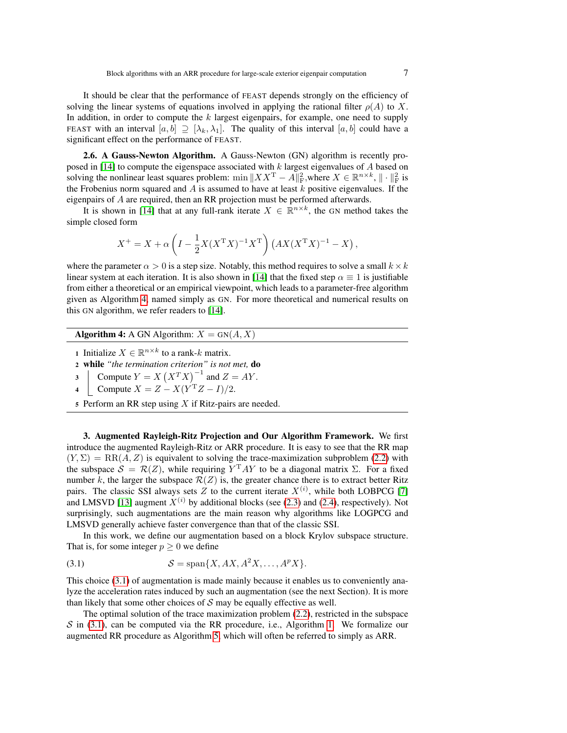It should be clear that the performance of FEAST depends strongly on the efficiency of solving the linear systems of equations involved in applying the rational filter  $\rho(A)$  to X. In addition, in order to compute the  $k$  largest eigenpairs, for example, one need to supply FEAST with an interval  $[a, b] \supseteq [\lambda_k, \lambda_1]$ . The quality of this interval  $[a, b]$  could have a significant effect on the performance of FEAST.

2.6. A Gauss-Newton Algorithm. A Gauss-Newton (GN) algorithm is recently pro-posed in [\[14\]](#page-32-16) to compute the eigenspace associated with  $k$  largest eigenvalues of  $A$  based on solving the nonlinear least squares problem:  $\min \|XX^T - A\|_F^2$ , where  $X \in \mathbb{R}^{n \times k}$ ,  $\|\cdot\|_F^2$  is the Frobenius norm squared and  $\overline{A}$  is assumed to have at least  $\overline{k}$  positive eigenvalues. If the eigenpairs of A are required, then an RR projection must be performed afterwards.

It is shown in [\[14\]](#page-32-16) that at any full-rank iterate  $X \in \mathbb{R}^{n \times k}$ , the GN method takes the simple closed form

$$
X^{+} = X + \alpha \left( I - \frac{1}{2} X (X^{T} X)^{-1} X^{T} \right) \left( A X (X^{T} X)^{-1} - X \right),
$$

where the parameter  $\alpha > 0$  is a step size. Notably, this method requires to solve a small  $k \times k$ linear system at each iteration. It is also shown in [\[14\]](#page-32-16) that the fixed step  $\alpha \equiv 1$  is justifiable from either a theoretical or an empirical viewpoint, which leads to a parameter-free algorithm given as Algorithm [4,](#page-6-1) named simply as GN. For more theoretical and numerical results on this GN algorithm, we refer readers to [\[14\]](#page-32-16).

**Algorithm 4:** A GN Algorithm:  $X = GN(A, X)$ 

- <span id="page-6-1"></span>1 Initialize  $X \in \mathbb{R}^{n \times k}$  to a rank-k matrix.
- <sup>2</sup> while *"the termination criterion" is not met,* do
- 3 Compute  $Y = X (X^T X)^{-1}$  and  $Z = AY$ .
- 4 Compute  $X = Z X(Y^TZ I)/2$ .
- 5 Perform an RR step using  $X$  if Ritz-pairs are needed.

<span id="page-6-0"></span>3. Augmented Rayleigh-Ritz Projection and Our Algorithm Framework. We first introduce the augmented Rayleigh-Ritz or ARR procedure. It is easy to see that the RR map  $(Y, \Sigma) = RR(A, Z)$  is equivalent to solving the trace-maximization subproblem [\(2.2\)](#page-4-1) with the subspace  $S = \mathcal{R}(Z)$ , while requiring  $Y<sup>T</sup> A Y$  to be a diagonal matrix  $\Sigma$ . For a fixed number k, the larger the subspace  $\mathcal{R}(Z)$  is, the greater chance there is to extract better Ritz pairs. The classic SSI always sets Z to the current iterate  $X^{(i)}$ , while both LOBPCG [\[7\]](#page-31-3) and LMSVD [\[13\]](#page-32-13) augment  $X^{(i)}$  by additional blocks (see [\(2.3\)](#page-4-3) and [\(2.4\)](#page-4-4), respectively). Not surprisingly, such augmentations are the main reason why algorithms like LOGPCG and LMSVD generally achieve faster convergence than that of the classic SSI.

<span id="page-6-2"></span>In this work, we define our augmentation based on a block Krylov subspace structure. That is, for some integer  $p > 0$  we define

$$
(3.1) \tS = \text{span}\{X, AX, A^2X, \dots, A^pX\}.
$$

This choice [\(3.1\)](#page-6-2) of augmentation is made mainly because it enables us to conveniently analyze the acceleration rates induced by such an augmentation (see the next Section). It is more than likely that some other choices of  $S$  may be equally effective as well.

<span id="page-6-3"></span>The optimal solution of the trace maximization problem [\(2.2\)](#page-4-1), restricted in the subspace  $S$  in [\(3.1\)](#page-6-2), can be computed via the RR procedure, i.e., Algorithm [1.](#page-2-1) We formalize our augmented RR procedure as Algorithm [5,](#page-6-3) which will often be referred to simply as ARR.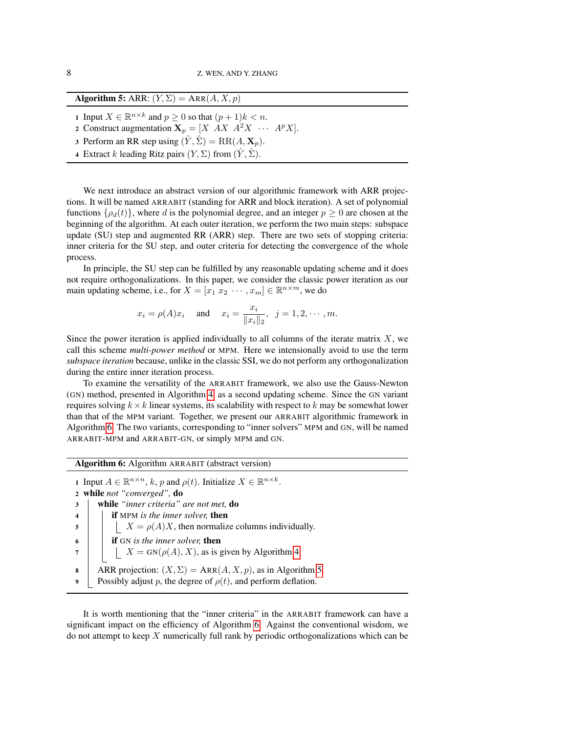Algorithm 5: ARR:  $(Y, \Sigma) = \text{ARR}(A, X, p)$ 

1 Input  $X \in \mathbb{R}^{n \times k}$  and  $p \ge 0$  so that  $(p+1)k < n$ .

2 Construct augmentation  $X_p = [X \ A X \ A^2 X \ \cdots \ A^p X].$ 

3 Perform an RR step using  $(\hat{Y}, \hat{\Sigma}) = RR(A, \mathbf{X}_p)$ .

4 Extract k leading Ritz pairs  $(Y, \Sigma)$  from  $(\hat{Y}, \hat{\Sigma})$ .

We next introduce an abstract version of our algorithmic framework with ARR projections. It will be named ARRABIT (standing for ARR and block iteration). A set of polynomial functions  $\{\rho_d(t)\}\$ , where d is the polynomial degree, and an integer  $p \geq 0$  are chosen at the beginning of the algorithm. At each outer iteration, we perform the two main steps: subspace update (SU) step and augmented RR (ARR) step. There are two sets of stopping criteria: inner criteria for the SU step, and outer criteria for detecting the convergence of the whole process.

In principle, the SU step can be fulfilled by any reasonable updating scheme and it does not require orthogonalizations. In this paper, we consider the classic power iteration as our main updating scheme, i.e., for  $X = [x_1 \ x_2 \ \cdots \ , x_m] \in \mathbb{R}^{n \times m}$ , we do

$$
x_i = \rho(A)x_i
$$
 and  $x_i = \frac{x_i}{\|x_i\|_2}$ ,  $j = 1, 2, \dots, m$ .

Since the power iteration is applied individually to all columns of the iterate matrix  $X$ , we call this scheme *multi-power method* or MPM. Here we intensionally avoid to use the term *subspace iteration* because, unlike in the classic SSI, we do not perform any orthogonalization during the entire inner iteration process.

To examine the versatility of the ARRABIT framework, we also use the Gauss-Newton (GN) method, presented in Algorithm [4,](#page-6-1) as a second updating scheme. Since the GN variant requires solving  $k \times k$  linear systems, its scalability with respect to k may be somewhat lower than that of the MPM variant. Together, we present our ARRABIT algorithmic framework in Algorithm [6.](#page-7-0) The two variants, corresponding to "inner solvers" MPM and GN, will be named ARRABIT-MPM and ARRABIT-GN, or simply MPM and GN.

<span id="page-7-0"></span>Algorithm 6: Algorithm ARRABIT (abstract version) 1 Input  $A \in \mathbb{R}^{n \times n}$ , k, p and  $\rho(t)$ . Initialize  $X \in \mathbb{R}^{n \times k}$ . <sup>2</sup> while *not "converged",* do <sup>3</sup> while *"inner criteria" are not met,* do <sup>4</sup> if MPM *is the inner solver,* then  $\mathfrak{s}$  | |  $X = \rho(A)X$ , then normalize columns individually. 6 **if** GN *is the inner solver*, then 7 | |  $X = GN(\rho(A), X)$ , as is given by Algorithm [4.](#page-6-1) 8 ARR projection:  $(X, \Sigma) = \text{ARR}(A, X, p)$ , as in Algorithm [5.](#page-6-3) 9 Possibly adjust p, the degree of  $\rho(t)$ , and perform deflation.

It is worth mentioning that the "inner criteria" in the ARRABIT framework can have a significant impact on the efficiency of Algorithm [6.](#page-7-0) Against the conventional wisdom, we do not attempt to keep X numerically full rank by periodic orthogonalizations which can be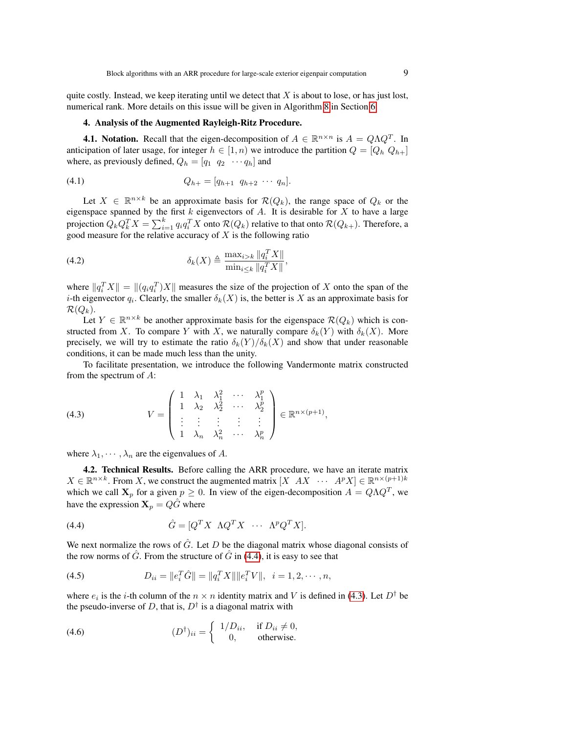quite costly. Instead, we keep iterating until we detect that  $X$  is about to lose, or has just lost, numerical rank. More details on this issue will be given in Algorithm [8](#page-17-0) in Section [6.](#page-15-0)

## <span id="page-8-0"></span>4. Analysis of the Augmented Rayleigh-Ritz Procedure.

**4.1. Notation.** Recall that the eigen-decomposition of  $A \in \mathbb{R}^{n \times n}$  is  $A = Q \Lambda Q^{T}$ . In anticipation of later usage, for integer  $h \in [1, n)$  we introduce the partition  $Q = [Q_h Q_{h+}]$ where, as previously defined,  $Q_h = [q_1 \ q_2 \ \cdots q_h]$  and

$$
(4.1) \tQ_{h+} = [q_{h+1} \t q_{h+2} \cdots q_n].
$$

Let  $X \in \mathbb{R}^{n \times k}$  be an approximate basis for  $\mathcal{R}(Q_k)$ , the range space of  $Q_k$  or the eigenspace spanned by the first k eigenvectors of A. It is desirable for X to have a large projection  $Q_k Q_k^T X = \sum_{i=1}^k q_i q_i^T X$  onto  $\mathcal{R}(Q_k)$  relative to that onto  $\mathcal{R}(Q_{k+}).$  Therefore, a good measure for the relative accuracy of  $X$  is the following ratio

(4.2) 
$$
\delta_k(X) \triangleq \frac{\max_{i>k} \|q_i^T X\|}{\min_{i \leq k} \|q_i^T X\|}
$$

where  $||q_i^T X|| = ||(q_i q_i^T) X||$  measures the size of the projection of X onto the span of the *i*-th eigenvector  $q_i$ . Clearly, the smaller  $\delta_k(X)$  is, the better is X as an approximate basis for  $\mathcal{R}(Q_k)$ .

<span id="page-8-4"></span>,

Let  $Y \in \mathbb{R}^{n \times k}$  be another approximate basis for the eigenspace  $\mathcal{R}(Q_k)$  which is constructed from X. To compare Y with X, we naturally compare  $\delta_k(Y)$  with  $\delta_k(X)$ . More precisely, we will try to estimate the ratio  $\delta_k(Y)/\delta_k(X)$  and show that under reasonable conditions, it can be made much less than the unity.

<span id="page-8-2"></span>To facilitate presentation, we introduce the following Vandermonte matrix constructed from the spectrum of A:

(4.3) 
$$
V = \begin{pmatrix} 1 & \lambda_1 & \lambda_1^2 & \cdots & \lambda_1^p \\ 1 & \lambda_2 & \lambda_2^2 & \cdots & \lambda_2^p \\ \vdots & \vdots & \vdots & \vdots & \vdots \\ 1 & \lambda_n & \lambda_n^2 & \cdots & \lambda_n^p \end{pmatrix} \in \mathbb{R}^{n \times (p+1)},
$$

where  $\lambda_1, \dots, \lambda_n$  are the eigenvalues of A.

4.2. Technical Results. Before calling the ARR procedure, we have an iterate matrix  $X \in \mathbb{R}^{n \times k}$ . From X, we construct the augmented matrix  $[X \quad AX \quad \cdots \quad A^p X] \in \mathbb{R}^{n \times (p+1)k}$ which we call  $X_p$  for a given  $p \ge 0$ . In view of the eigen-decomposition  $A = Q \Lambda Q^T$ , we have the expression  $X_p = Q\hat{G}$  where

<span id="page-8-1"></span>(4.4) 
$$
\hat{G} = [Q^T X \ \Lambda Q^T X \ \cdots \ \Lambda^p Q^T X].
$$

<span id="page-8-3"></span>We next normalize the rows of  $\hat{G}$ . Let D be the diagonal matrix whose diagonal consists of the row norms of  $\tilde{G}$ . From the structure of  $\tilde{G}$  in [\(4.4\)](#page-8-1), it is easy to see that

(4.5) 
$$
D_{ii} = ||e_i^T \hat{G}|| = ||q_i^T X|| ||e_i^T V||, \quad i = 1, 2, \cdots, n,
$$

where  $e_i$  is the *i*-th column of the  $n \times n$  identity matrix and V is defined in [\(4.3\)](#page-8-2). Let  $D^{\dagger}$  be the pseudo-inverse of D, that is,  $D^{\dagger}$  is a diagonal matrix with

(4.6) 
$$
(D^{\dagger})_{ii} = \begin{cases} 1/D_{ii}, & \text{if } D_{ii} \neq 0, \\ 0, & \text{otherwise.} \end{cases}
$$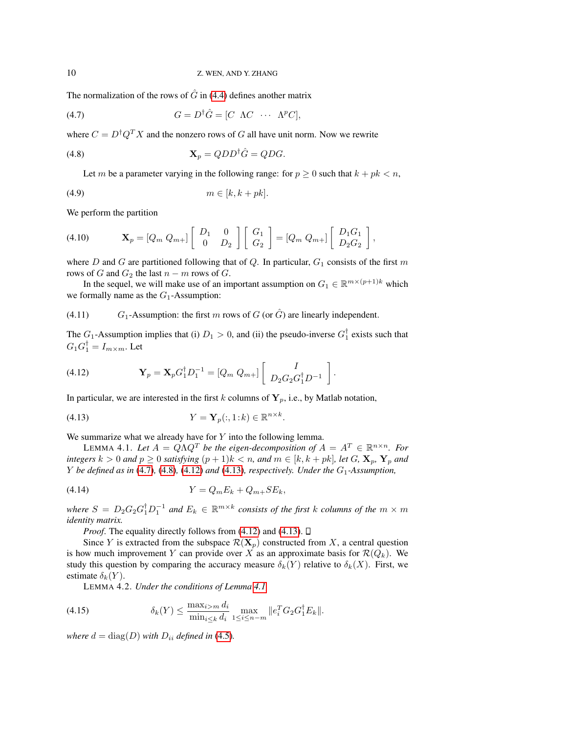The normalization of the rows of  $\hat{G}$  in [\(4.4\)](#page-8-1) defines another matrix

(4.7) 
$$
G = D^{\dagger} \hat{G} = [C \ \Lambda C \ \cdots \ \Lambda^p C],
$$

where  $C = D^{\dagger} Q^T X$  and the nonzero rows of G all have unit norm. Now we rewrite

$$
\mathbf{X}_p = QDD^{\dagger} \hat{G} = QDG.
$$

<span id="page-9-1"></span><span id="page-9-0"></span>Let m be a parameter varying in the following range: for  $p \ge 0$  such that  $k + pk < n$ ,

$$
(4.9) \t\t\t m \in [k, k + pk].
$$

We perform the partition

$$
(4.10) \t\t \mathbf{X}_p = [Q_m Q_{m+}] \begin{bmatrix} D_1 & 0 \\ 0 & D_2 \end{bmatrix} \begin{bmatrix} G_1 \\ G_2 \end{bmatrix} = [Q_m Q_{m+}] \begin{bmatrix} D_1 G_1 \\ D_2 G_2 \end{bmatrix},
$$

where D and G are partitioned following that of Q. In particular,  $G_1$  consists of the first m rows of G and  $G_2$  the last  $n - m$  rows of G.

<span id="page-9-7"></span>In the sequel, we will make use of an important assumption on  $G_1 \in \mathbb{R}^{m \times (p+1)k}$  which we formally name as the  $G_1$ -Assumption:

(4.11) G<sub>1</sub>-Assumption: the first m rows of G (or  $\hat{G}$ ) are linearly independent.

<span id="page-9-2"></span>The  $G_1$ -Assumption implies that (i)  $D_1 > 0$ , and (ii) the pseudo-inverse  $G_1^{\dagger}$  exists such that  $G_1 G_1^{\dagger} = I_{m \times m}$ . Let

(4.12) 
$$
\mathbf{Y}_p = \mathbf{X}_p G_1^{\dagger} D_1^{-1} = [Q_m Q_{m+}] \begin{bmatrix} I \\ D_2 G_2 G_1^{\dagger} D^{-1} \end{bmatrix}.
$$

In particular, we are interested in the first k columns of  $Y_p$ , i.e., by Matlab notation,

<span id="page-9-4"></span><span id="page-9-3"></span>
$$
(4.13) \t\t Y = \mathbf{Y}_p(:,1:k) \in \mathbb{R}^{n \times k}.
$$

We summarize what we already have for  $Y$  into the following lemma.

LEMMA 4.1. Let  $A = Q \Lambda Q^T$  be the eigen-decomposition of  $A = A^T \in \mathbb{R}^{n \times n}$ . For *integers*  $k > 0$  *and*  $p \ge 0$  *satisfying*  $(p + 1)k < n$ *, and*  $m \in [k, k + pk]$ *, let* G*,*  $\mathbf{X}_p$ *,*  $\mathbf{Y}_p$  *and*  $Y$  *be defined as in* [\(4.7\)](#page-9-0), [\(4.8\)](#page-9-1), [\(4.12\)](#page-9-2) *and* [\(4.13\)](#page-9-3), *respectively. Under the*  $G_1$ -Assumption,

$$
(4.14) \t\t Y = Q_m E_k + Q_{m+} SE_k,
$$

where  $S = D_2 G_2 G_1^{\dagger} D_1^{-1}$  and  $E_k \in \mathbb{R}^{m \times k}$  consists of the first k columns of the  $m \times m$ *identity matrix.*

<span id="page-9-5"></span>*Proof.* The equality directly follows from [\(4.12\)](#page-9-2) and [\(4.13\)](#page-9-3).  $\Box$ 

Since Y is extracted from the subspace  $\mathcal{R}(\mathbf{X}_p)$  constructed from X, a central question is how much improvement Y can provide over X as an approximate basis for  $\mathcal{R}(Q_k)$ . We study this question by comparing the accuracy measure  $\delta_k(Y)$  relative to  $\delta_k(X)$ . First, we estimate  $\delta_k(Y)$ .

<span id="page-9-6"></span>LEMMA 4.2. *Under the conditions of Lemma [4.1,](#page-9-4)*

(4.15) 
$$
\delta_k(Y) \le \frac{\max_{i>m} d_i}{\min_{i \le k} d_i} \max_{1 \le i \le n-m} \|e_i^T G_2 G_1^{\dagger} E_k\|.
$$

*where*  $d = \text{diag}(D)$  *with*  $D_{ii}$  *defined in* [\(4.5\)](#page-8-3)*.*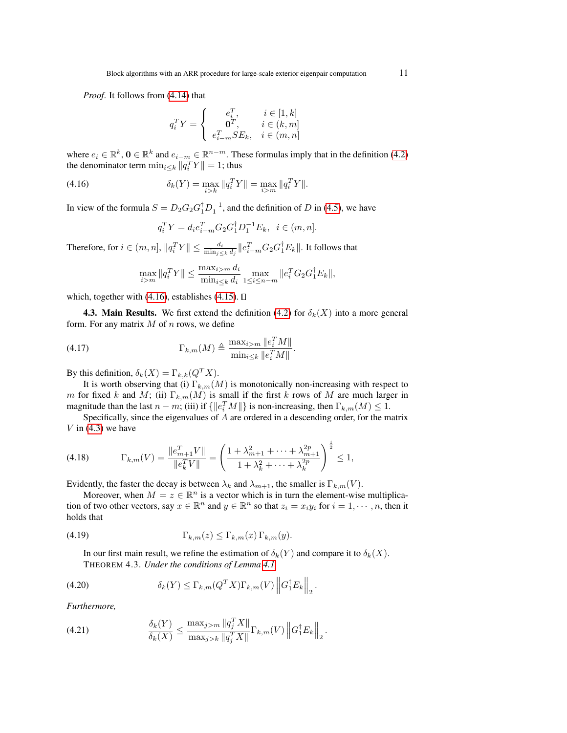*Proof*. It follows from [\(4.14\)](#page-9-5) that

<span id="page-10-0"></span>
$$
q_i^T Y = \begin{cases} e_i^T, & i \in [1, k] \\ \mathbf{0}^T, & i \in (k, m] \\ e_{i-m}^T S E_k, & i \in (m, n] \end{cases}
$$

where  $e_i \in \mathbb{R}^k$ ,  $\mathbf{0} \in \mathbb{R}^k$  and  $e_{i-m} \in \mathbb{R}^{n-m}$ . These formulas imply that in the definition [\(4.2\)](#page-8-4) the denominator term  $\min_{i \leq k} ||q_i^T Y|| = 1$ ; thus

(4.16) 
$$
\delta_k(Y) = \max_{i > k} \|q_i^T Y\| = \max_{i > m} \|q_i^T Y\|.
$$

In view of the formula  $S = D_2 G_2 G_1^{\dagger} D_1^{-1}$ , and the definition of D in [\(4.5\)](#page-8-3), we have

$$
q_i^T Y = d_i e_{i-m}^T G_2 G_1^{\dagger} D_1^{-1} E_k, \ \ i \in (m, n].
$$

Therefore, for  $i \in (m, n]$ ,  $||q_i^TY|| \le \frac{d_i}{\min_{j \le k} d_j} ||e_{i-m}^T G_2 G_1^{\dagger} E_k||$ . It follows that

$$
\max_{i>m} \|q_i^T Y\| \le \frac{\max_{i>m} d_i}{\min_{i \le k} d_i} \max_{1 \le i \le n-m} \|e_i^T G_2 G_1^{\dagger} E_k\|,
$$

which, together with [\(4.16\)](#page-10-0), establishes [\(4.15\)](#page-9-6).  $\Box$ 

**4.3. Main Results.** We first extend the definition [\(4.2\)](#page-8-4) for  $\delta_k(X)$  into a more general form. For any matrix  $M$  of  $n$  rows, we define

(4.17) 
$$
\Gamma_{k,m}(M) \triangleq \frac{\max_{i>m} \|e_i^T M\|}{\min_{i \leq k} \|e_i^T M\|}.
$$

By this definition,  $\delta_k(X) = \Gamma_{k,k}(Q^T X)$ .

It is worth observing that (i)  $\Gamma_{k,m}(M)$  is monotonically non-increasing with respect to m for fixed k and M; (ii)  $\Gamma_{k,m}(M)$  is small if the first k rows of M are much larger in magnitude than the last  $n - m$ ; (iii) if  $\{\|e_i^T M\|\}$  is non-increasing, then  $\Gamma_{k,m}(M) \leq 1$ .

<span id="page-10-4"></span>Specifically, since the eigenvalues of A are ordered in a descending order, for the matrix V in  $(4.3)$  we have

$$
(4.18) \t \Gamma_{k,m}(V) = \frac{\|e_{m+1}^T V\|}{\|e_k^T V\|} = \left(\frac{1 + \lambda_{m+1}^2 + \dots + \lambda_{m+1}^{2p}}{1 + \lambda_k^2 + \dots + \lambda_k^{2p}}\right)^{\frac{1}{2}} \le 1,
$$

Evidently, the faster the decay is between  $\lambda_k$  and  $\lambda_{m+1}$ , the smaller is  $\Gamma_{k,m}(V)$ .

<span id="page-10-1"></span>Moreover, when  $M = z \in \mathbb{R}^n$  is a vector which is in turn the element-wise multiplication of two other vectors, say  $x \in \mathbb{R}^n$  and  $y \in \mathbb{R}^n$  so that  $z_i = x_i y_i$  for  $i = 1, \dots, n$ , then it holds that

(4.19) 
$$
\Gamma_{k,m}(z) \leq \Gamma_{k,m}(x) \Gamma_{k,m}(y).
$$

<span id="page-10-2"></span>In our first main result, we refine the estimation of  $\delta_k(Y)$  and compare it to  $\delta_k(X)$ . THEOREM 4.3. *Under the conditions of Lemma [4.1,](#page-9-4)*

(4.20) 
$$
\delta_k(Y) \leq \Gamma_{k,m}(Q^T X) \Gamma_{k,m}(V) \left\| G_1^{\dagger} E_k \right\|_2.
$$

<span id="page-10-3"></span>*Furthermore,*

(4.21) 
$$
\frac{\delta_k(Y)}{\delta_k(X)} \le \frac{\max_{j>m} \|q_j^T X\|}{\max_{j>k} \|q_j^T X\|} \Gamma_{k,m}(V) \|G_1^{\dagger} E_k\|_2.
$$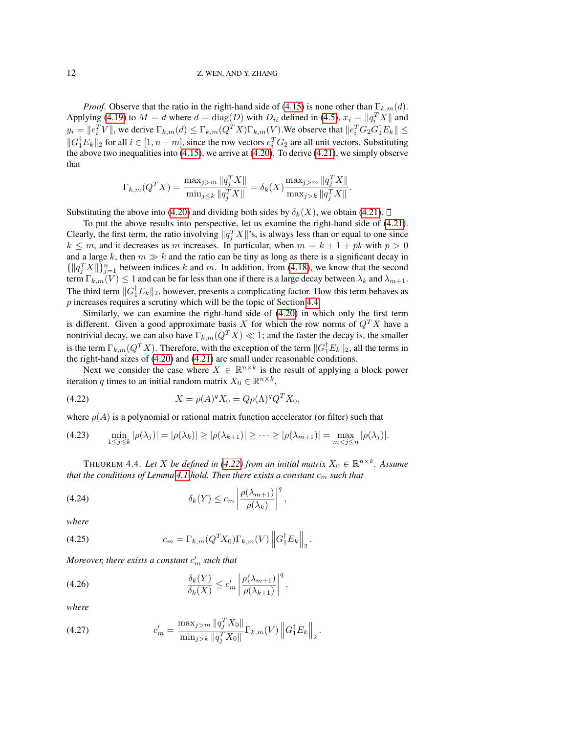*Proof.* Observe that the ratio in the right-hand side of [\(4.15\)](#page-9-6) is none other than  $\Gamma_{k,m}(d)$ . Applying [\(4.19\)](#page-10-1) to  $M = d$  where  $d = \text{diag}(D)$  with  $D_{ii}$  defined in [\(4.5\)](#page-8-3),  $x_i = ||q_i^T X||$  and  $y_i = ||e_i^T V||$ , we derive  $\Gamma_{k,m}(d) \leq \Gamma_{k,m}(Q^T X) \Gamma_{k,m}(V)$ . We observe that  $||e_i^T G_2 G_1^{\dagger} E_k|| \leq$  $||G_1^{\dagger}E_k||_2$  for all  $i \in [1, n-m]$ , since the row vectors  $e_i^T G_2$  are all unit vectors. Substituting the above two inequalities into  $(4.15)$ , we arrive at  $(4.20)$ . To derive  $(4.21)$ , we simply observe that

$$
\Gamma_{k,m}(Q^T X) = \frac{\max_{j>m} \|q_j^T X\|}{\min_{j \le k} \|q_j^T X\|} = \delta_k(X) \frac{\max_{j>m} \|q_j^T X\|}{\max_{j > k} \|q_j^T X\|}.
$$

Substituting the above into [\(4.20\)](#page-10-2) and dividing both sides by  $\delta_k(X)$ , we obtain [\(4.21\)](#page-10-3).  $\Box$ 

To put the above results into perspective, let us examine the right-hand side of [\(4.21\)](#page-10-3). Clearly, the first term, the ratio involving  $||q_j^T X||$ 's, is always less than or equal to one since  $k \leq m$ , and it decreases as m increases. In particular, when  $m = k + 1 + pk$  with  $p > 0$ and a large k, then  $m \gg k$  and the ratio can be tiny as long as there is a significant decay in  $\{\Vert q_j^T X \Vert\}_{j=1}^n$  between indices k and m. In addition, from [\(4.18\)](#page-10-4), we know that the second term  $\Gamma_{k,m}(V) \leq 1$  and can be far less than one if there is a large decay between  $\lambda_k$  and  $\lambda_{m+1}$ . The third term  $||G_1^{\dagger}E_k||_2$ , however, presents a complicating factor. How this term behaves as p increases requires a scrutiny which will be the topic of Section [4.4.](#page-12-0)

Similarly, we can examine the right-hand side of [\(4.20\)](#page-10-2) in which only the first term is different. Given a good approximate basis X for which the row norms of  $Q^T X$  have a nontrivial decay, we can also have  $\Gamma_{k,m}(Q^TX) \ll 1$ ; and the faster the decay is, the smaller is the term  $\Gamma_{k,m}(Q^TX)$ . Therefore, with the exception of the term  $||G_1^{\dagger}E_k||_2$ , all the terms in the right-hand sizes of [\(4.20\)](#page-10-2) and [\(4.21\)](#page-10-3) are small under reasonable conditions.

<span id="page-11-0"></span>Next we consider the case where  $X \in \mathbb{R}^{n \times k}$  is the result of applying a block power iteration q times to an initial random matrix  $X_0 \in \mathbb{R}^{n \times k}$ ,

(4.22) 
$$
X = \rho(A)^q X_0 = Q\rho(\Lambda)^q Q^T X_0,
$$

where  $\rho(A)$  is a polynomial or rational matrix function accelerator (or filter) such that

$$
(4.23) \qquad \min_{1 \leq j \leq k} |\rho(\lambda_j)| = |\rho(\lambda_k)| \geq |\rho(\lambda_{k+1})| \geq \cdots \geq |\rho(\lambda_{m+1})| = \max_{m < j \leq n} |\rho(\lambda_j)|.
$$

THEOREM 4.4. Let X be defined in [\(4.22\)](#page-11-0) from an initial matrix  $X_0 \in \mathbb{R}^{n \times k}$ . Assume *that the conditions of Lemma* [4.1](#page-9-4) *hold. Then there exists a constant*  $c_m$  *such that* 

<span id="page-11-1"></span>(4.24) 
$$
\delta_k(Y) \leq c_m \left| \frac{\rho(\lambda_{m+1})}{\rho(\lambda_k)} \right|^q,
$$

*where*

(4.25) 
$$
c_m = \Gamma_{k,m}(Q^T X_0) \Gamma_{k,m}(V) \left\| G_1^{\dagger} E_k \right\|_2.
$$

<span id="page-11-2"></span>Moreover, there exists a constant  $c_m'$  such that

(4.26) 
$$
\frac{\delta_k(Y)}{\delta_k(X)} \le c'_m \left| \frac{\rho(\lambda_{m+1})}{\rho(\lambda_{k+1})} \right|^q,
$$

*where*

(4.27) 
$$
c'_{m} = \frac{\max_{j>m} \|q_j^T X_0\|}{\min_{j>k} \|q_j^T X_0\|} \Gamma_{k,m}(V) \|G_1^{\dagger} E_k\|_2.
$$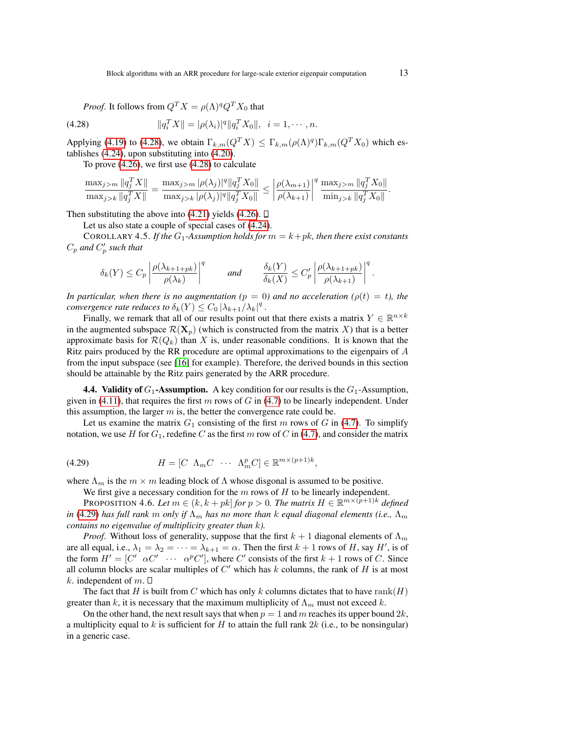<span id="page-12-1"></span>*Proof.* It follows from  $Q^T X = \rho(\Lambda)^q Q^T X_0$  that

(4.28) 
$$
||q_i^T X|| = |\rho(\lambda_i)|^q ||q_i^T X_0||, \quad i = 1, \cdots, n.
$$

Applying [\(4.19\)](#page-10-1) to [\(4.28\)](#page-12-1), we obtain  $\Gamma_{k,m}(Q^TX) \leq \Gamma_{k,m}(\rho(\Lambda)^q) \Gamma_{k,m}(Q^TX_0)$  which establishes [\(4.24\)](#page-11-1), upon substituting into [\(4.20\)](#page-10-2).

To prove [\(4.26\)](#page-11-2), we first use [\(4.28\)](#page-12-1) to calculate

$$
\frac{\max_{j>m} \|q_j^T X\|}{\max_{j>k} \|q_j^T X\|} = \frac{\max_{j>m} |\rho(\lambda_j)|^q \|q_j^T X_0\|}{\max_{j>k} |\rho(\lambda_j)|^q \|q_j^T X_0\|} \le \left| \frac{\rho(\lambda_{m+1})}{\rho(\lambda_{k+1})} \right|^q \frac{\max_{j>m} \|q_j^T X_0\|}{\min_{j>k} \|q_j^T X_0\|}.
$$

Then substituting the above into  $(4.21)$  yields  $(4.26)$ .  $\Box$ 

Let us also state a couple of special cases of [\(4.24\)](#page-11-1).

COROLLARY 4.5. *If the*  $G_1$ -Assumption holds for  $m = k + pk$ , then there exist constants  $C_p$  and  $C_p'$  such that

$$
\delta_k(Y) \le C_p \left| \frac{\rho(\lambda_{k+1+pk})}{\rho(\lambda_k)} \right|^q \quad \text{and} \quad \frac{\delta_k(Y)}{\delta_k(X)} \le C_p' \left| \frac{\rho(\lambda_{k+1+pk})}{\rho(\lambda_{k+1})} \right|^q.
$$

*In particular, when there is no augmentation (* $p = 0$ *) and no acceleration (* $\rho(t) = t$ *), the convergence rate reduces to*  $\delta_k(Y) \leq C_0 |\lambda_{k+1}/\lambda_k|^q$ .

Finally, we remark that all of our results point out that there exists a matrix  $Y \in \mathbb{R}^{n \times k}$ in the augmented subspace  $\mathcal{R}(\mathbf{X}_p)$  (which is constructed from the matrix X) that is a better approximate basis for  $\mathcal{R}(Q_k)$  than X is, under reasonable conditions. It is known that the Ritz pairs produced by the RR procedure are optimal approximations to the eigenpairs of A from the input subspace (see [\[16\]](#page-32-0) for example). Therefore, the derived bounds in this section should be attainable by the Ritz pairs generated by the ARR procedure.

<span id="page-12-0"></span>**4.4. Validity of**  $G_1$ **-Assumption.** A key condition for our results is the  $G_1$ -Assumption, given in [\(4.11\)](#page-9-7), that requires the first m rows of G in [\(4.7\)](#page-9-0) to be linearly independent. Under this assumption, the larger  $m$  is, the better the convergence rate could be.

<span id="page-12-2"></span>Let us examine the matrix  $G_1$  consisting of the first m rows of G in [\(4.7\)](#page-9-0). To simplify notation, we use H for  $G_1$ , redefine C as the first m row of C in [\(4.7\)](#page-9-0), and consider the matrix

(4.29) 
$$
H = [C \ \Lambda_m C \ \cdots \ \Lambda_m^p C] \in \mathbb{R}^{m \times (p+1)k},
$$

where  $\Lambda_m$  is the  $m \times m$  leading block of  $\Lambda$  whose disgonal is assumed to be positive.

<span id="page-12-3"></span>We first give a necessary condition for the  $m$  rows of  $H$  to be linearly independent.

PROPOSITION 4.6. Let  $m \in (k, k + pk]$  for  $p > 0$ . The matrix  $H \in \mathbb{R}^{m \times (p+1)k}$  defined *in* [\(4.29\)](#page-12-2) *has full rank* m *only if*  $\Lambda_m$  *has no more than* k *equal diagonal elements (i.e.,*  $\Lambda_m$ *contains no eigenvalue of multiplicity greater than* k*).*

*Proof.* Without loss of generality, suppose that the first  $k + 1$  diagonal elements of  $\Lambda_m$ are all equal, i.e.,  $\lambda_1 = \lambda_2 = \cdots = \lambda_{k+1} = \alpha$ . Then the first  $k+1$  rows of H, say H', is of the form  $H' = [C' \ \alpha C' \ \cdots \ \alpha^p C']$ , where C' consists of the first  $k + 1$  rows of C. Since all column blocks are scalar multiples of  $C'$  which has  $k$  columns, the rank of  $H$  is at most k. independent of m.  $\square$ 

The fact that H is built from C which has only k columns dictates that to have rank(H) greater than k, it is necessary that the maximum multiplicity of  $\Lambda_m$  must not exceed k.

On the other hand, the next result says that when  $p = 1$  and m reaches its upper bound  $2k$ , a multiplicity equal to k is sufficient for H to attain the full rank  $2k$  (i.e., to be nonsingular) in a generic case.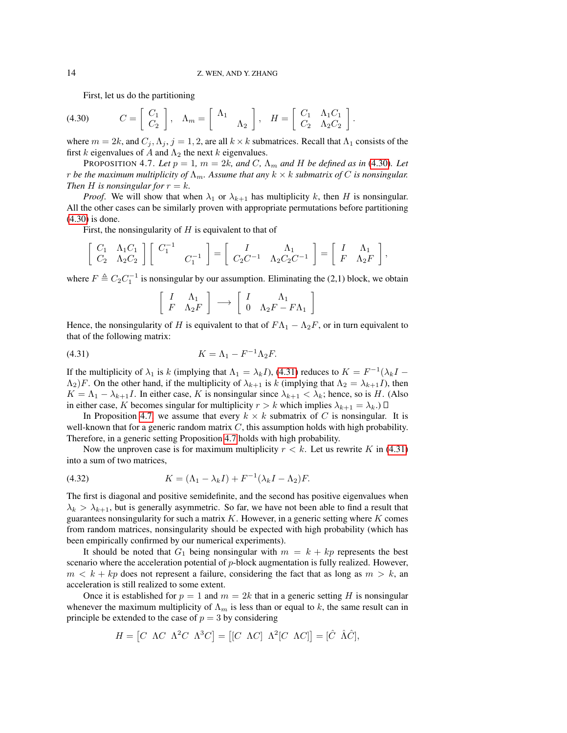<span id="page-13-0"></span>First, let us do the partitioning

$$
(4.30) \t C = \begin{bmatrix} C_1 \\ C_2 \end{bmatrix}, \t \Lambda_m = \begin{bmatrix} \Lambda_1 \\ \Lambda_2 \end{bmatrix}, \t H = \begin{bmatrix} C_1 & \Lambda_1 C_1 \\ C_2 & \Lambda_2 C_2 \end{bmatrix}.
$$

where  $m = 2k$ , and  $C_j, \Lambda_j, j = 1, 2$ , are all  $k \times k$  submatrices. Recall that  $\Lambda_1$  consists of the first k eigenvalues of A and  $\Lambda_2$  the next k eigenvalues.

<span id="page-13-2"></span>PROPOSITION 4.7. Let  $p = 1$ ,  $m = 2k$ , and C,  $\Lambda_m$  and H be defined as in [\(4.30\)](#page-13-0). Let *r be the maximum multiplicity of*  $\Lambda_m$ . Assume that any  $k \times k$  *submatrix of* C *is nonsingular. Then H is nonsingular for*  $r = k$ *.* 

*Proof.* We will show that when  $\lambda_1$  or  $\lambda_{k+1}$  has multiplicity k, then H is nonsingular. All the other cases can be similarly proven with appropriate permutations before partitioning [\(4.30\)](#page-13-0) is done.

First, the nonsingularity of  $H$  is equivalent to that of

$$
\begin{bmatrix} C_1 & \Lambda_1 C_1 \\ C_2 & \Lambda_2 C_2 \end{bmatrix} \begin{bmatrix} C_1^{-1} \\ C_1^{-1} \end{bmatrix} = \begin{bmatrix} I & \Lambda_1 \\ C_2 C^{-1} & \Lambda_2 C_2 C^{-1} \end{bmatrix} = \begin{bmatrix} I & \Lambda_1 \\ F & \Lambda_2 F \end{bmatrix},
$$

where  $F \triangleq C_2 C_1^{-1}$  is nonsingular by our assumption. Eliminating the (2,1) block, we obtain

<span id="page-13-1"></span>
$$
\left[\begin{array}{cc} I & \Lambda_1 \\ F & \Lambda_2 F \end{array}\right] \longrightarrow \left[\begin{array}{cc} I & \Lambda_1 \\ 0 & \Lambda_2 F - F \Lambda_1 \end{array}\right]
$$

Hence, the nonsingularity of H is equivalent to that of  $F\Lambda_1 - \Lambda_2 F$ , or in turn equivalent to that of the following matrix:

$$
(4.31) \t\t K = \Lambda_1 - F^{-1} \Lambda_2 F.
$$

If the multiplicity of  $\lambda_1$  is k (implying that  $\Lambda_1 = \lambda_k I$ ), [\(4.31\)](#page-13-1) reduces to  $K = F^{-1}(\lambda_k I (\Lambda_2)F$ . On the other hand, if the multiplicity of  $\lambda_{k+1}$  is k (implying that  $\Lambda_2 = \lambda_{k+1}I$ ), then  $K = \Lambda_1 - \lambda_{k+1}I$ . In either case, K is nonsingular since  $\lambda_{k+1} < \lambda_k$ ; hence, so is H. (Also in either case, K becomes singular for multiplicity  $r > k$  which implies  $\lambda_{k+1} = \lambda_k$ .)  $\Box$ 

In Proposition [4.7,](#page-13-2) we assume that every  $k \times k$  submatrix of C is nonsingular. It is well-known that for a generic random matrix  $C$ , this assumption holds with high probability. Therefore, in a generic setting Proposition [4.7](#page-13-2) holds with high probability.

Now the unproven case is for maximum multiplicity  $r < k$ . Let us rewrite K in [\(4.31\)](#page-13-1) into a sum of two matrices,

(4.32) 
$$
K = (\Lambda_1 - \lambda_k I) + F^{-1}(\lambda_k I - \Lambda_2)F.
$$

The first is diagonal and positive semidefinite, and the second has positive eigenvalues when  $\lambda_k > \lambda_{k+1}$ , but is generally asymmetric. So far, we have not been able to find a result that guarantees nonsingularity for such a matrix  $K$ . However, in a generic setting where  $K$  comes from random matrices, nonsingularity should be expected with high probability (which has been empirically confirmed by our numerical experiments).

It should be noted that  $G_1$  being nonsingular with  $m = k + kp$  represents the best scenario where the acceleration potential of  $p$ -block augmentation is fully realized. However,  $m < k + kp$  does not represent a failure, considering the fact that as long as  $m > k$ , an acceleration is still realized to some extent.

Once it is established for  $p = 1$  and  $m = 2k$  that in a generic setting H is nonsingular whenever the maximum multiplicity of  $\Lambda_m$  is less than or equal to k, the same result can in principle be extended to the case of  $p = 3$  by considering

$$
H = [C \ \Lambda C \ \Lambda^2 C \ \Lambda^3 C] = [[C \ \Lambda C] \ \Lambda^2 [C \ \Lambda C]] = [\hat{C} \ \hat{\Lambda} \hat{C}],
$$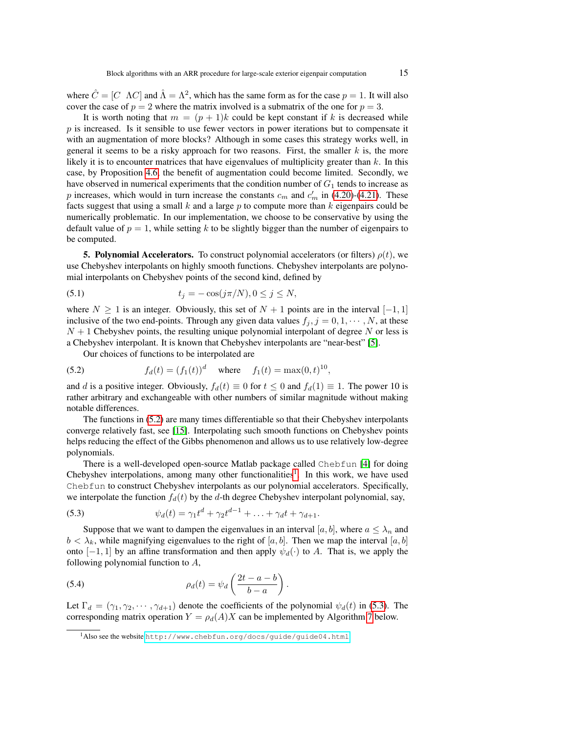where  $\hat{C} = [C \ \Lambda C]$  and  $\hat{\Lambda} = \Lambda^2$ , which has the same form as for the case  $p = 1$ . It will also cover the case of  $p = 2$  where the matrix involved is a submatrix of the one for  $p = 3$ .

It is worth noting that  $m = (p + 1)k$  could be kept constant if k is decreased while  $p$  is increased. Is it sensible to use fewer vectors in power iterations but to compensate it with an augmentation of more blocks? Although in some cases this strategy works well, in general it seems to be a risky approach for two reasons. First, the smaller  $k$  is, the more likely it is to encounter matrices that have eigenvalues of multiplicity greater than  $k$ . In this case, by Proposition [4.6,](#page-12-3) the benefit of augmentation could become limited. Secondly, we have observed in numerical experiments that the condition number of  $G_1$  tends to increase as p increases, which would in turn increase the constants  $c_m$  and  $c'_m$  in [\(4.20\)](#page-10-2)-[\(4.21\)](#page-10-3). These facts suggest that using a small  $k$  and a large  $p$  to compute more than  $k$  eigenpairs could be numerically problematic. In our implementation, we choose to be conservative by using the default value of  $p = 1$ , while setting k to be slightly bigger than the number of eigenpairs to be computed.

<span id="page-14-0"></span>**5. Polynomial Accelerators.** To construct polynomial accelerators (or filters)  $\rho(t)$ , we use Chebyshev interpolants on highly smooth functions. Chebyshev interpolants are polynomial interpolants on Chebyshev points of the second kind, defined by

(5.1) 
$$
t_j = -\cos(j\pi/N), 0 \le j \le N,
$$

where  $N \ge 1$  is an integer. Obviously, this set of  $N + 1$  points are in the interval  $[-1, 1]$ inclusive of the two end-points. Through any given data values  $f_j$ ,  $j = 0, 1, \dots, N$ , at these  $N + 1$  Chebyshev points, the resulting unique polynomial interpolant of degree N or less is a Chebyshev interpolant. It is known that Chebyshev interpolants are "near-best" [\[5\]](#page-31-5).

<span id="page-14-1"></span>Our choices of functions to be interpolated are

(5.2) 
$$
f_d(t) = (f_1(t))^d \text{ where } f_1(t) = \max(0, t)^{10},
$$

and d is a positive integer. Obviously,  $f_d(t) \equiv 0$  for  $t \leq 0$  and  $f_d(1) \equiv 1$ . The power 10 is rather arbitrary and exchangeable with other numbers of similar magnitude without making notable differences.

The functions in [\(5.2\)](#page-14-1) are many times differentiable so that their Chebyshev interpolants converge relatively fast, see [\[15\]](#page-32-17). Interpolating such smooth functions on Chebyshev points helps reducing the effect of the Gibbs phenomenon and allows us to use relatively low-degree polynomials.

There is a well-developed open-source Matlab package called Chebfun [\[4\]](#page-31-6) for doing Chebyshev interpolations, among many other functionalities<sup>[1](#page-14-2)</sup>. In this work, we have used Chebfun to construct Chebyshev interpolants as our polynomial accelerators. Specifically, we interpolate the function  $f_d(t)$  by the d-th degree Chebyshev interpolant polynomial, say,

<span id="page-14-3"></span>(5.3) 
$$
\psi_d(t) = \gamma_1 t^d + \gamma_2 t^{d-1} + \ldots + \gamma_d t + \gamma_{d+1}.
$$

Suppose that we want to dampen the eigenvalues in an interval [a, b], where  $a \leq \lambda_n$  and  $b < \lambda_k$ , while magnifying eigenvalues to the right of [a, b]. Then we map the interval [a, b] onto  $[-1, 1]$  by an affine transformation and then apply  $\psi_d(\cdot)$  to A. That is, we apply the following polynomial function to  $A$ ,

<span id="page-14-5"></span>(5.4) 
$$
\rho_d(t) = \psi_d\left(\frac{2t-a-b}{b-a}\right).
$$

Let  $\Gamma_d = (\gamma_1, \gamma_2, \cdots, \gamma_{d+1})$  denote the coefficients of the polynomial  $\psi_d(t)$  in [\(5.3\)](#page-14-3). The corresponding matrix operation  $Y = \rho_d(A)X$  can be implemented by Algorithm [7](#page-14-4) below.

<span id="page-14-4"></span><span id="page-14-2"></span><sup>1</sup>Also see the website <http://www.chebfun.org/docs/guide/guide04.html>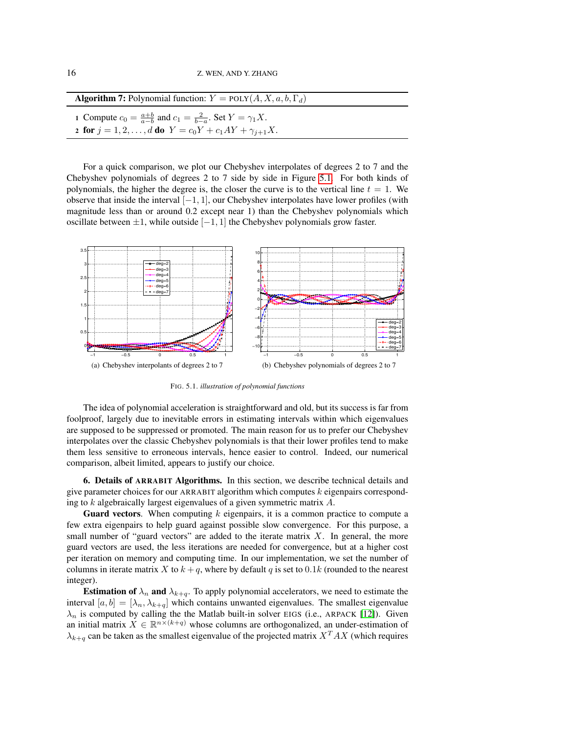| <b>Algorithm 7:</b> Polynomial function: $Y = \text{POLY}(A, X, a, b, \Gamma_d)$                                                                          |
|-----------------------------------------------------------------------------------------------------------------------------------------------------------|
| 1 Compute $c_0 = \frac{a+b}{a-b}$ and $c_1 = \frac{2}{b-a}$ . Set $Y = \gamma_1 X$ .<br>2 for $j = 1, 2, , d$ do $Y = c_0 Y + c_1 A Y + \gamma_{i+1} X$ . |

For a quick comparison, we plot our Chebyshev interpolates of degrees 2 to 7 and the Chebyshev polynomials of degrees 2 to 7 side by side in Figure [5.1.](#page-15-1) For both kinds of polynomials, the higher the degree is, the closer the curve is to the vertical line  $t = 1$ . We observe that inside the interval  $[-1, 1]$ , our Chebyshev interpolates have lower profiles (with magnitude less than or around 0.2 except near 1) than the Chebyshev polynomials which oscillate between  $\pm 1$ , while outside  $[-1, 1]$  the Chebyshev polynomials grow faster.



<span id="page-15-1"></span>FIG. 5.1. *illustration of polynomial functions*

The idea of polynomial acceleration is straightforward and old, but its success is far from foolproof, largely due to inevitable errors in estimating intervals within which eigenvalues are supposed to be suppressed or promoted. The main reason for us to prefer our Chebyshev interpolates over the classic Chebyshev polynomials is that their lower profiles tend to make them less sensitive to erroneous intervals, hence easier to control. Indeed, our numerical comparison, albeit limited, appears to justify our choice.

<span id="page-15-0"></span>6. Details of ARRABIT Algorithms. In this section, we describe technical details and give parameter choices for our ARRABIT algorithm which computes k eigenpairs corresponding to k algebraically largest eigenvalues of a given symmetric matrix A.

**Guard vectors.** When computing  $k$  eigenpairs, it is a common practice to compute a few extra eigenpairs to help guard against possible slow convergence. For this purpose, a small number of "guard vectors" are added to the iterate matrix  $X$ . In general, the more guard vectors are used, the less iterations are needed for convergence, but at a higher cost per iteration on memory and computing time. In our implementation, we set the number of columns in iterate matrix X to  $k + q$ , where by default q is set to 0.1k (rounded to the nearest integer).

**Estimation of**  $\lambda_n$  and  $\lambda_{k+q}$ . To apply polynomial accelerators, we need to estimate the interval  $[a, b] = [\lambda_n, \lambda_{k+q}]$  which contains unwanted eigenvalues. The smallest eigenvalue  $\lambda_n$  is computed by calling the the Matlab built-in solver EIGS (i.e., ARPACK [\[12\]](#page-32-3)). Given an initial matrix  $X \in \mathbb{R}^{n \times (k+q)}$  whose columns are orthogonalized, an under-estimation of  $\lambda_{k+a}$  can be taken as the smallest eigenvalue of the projected matrix  $X^T A X$  (which requires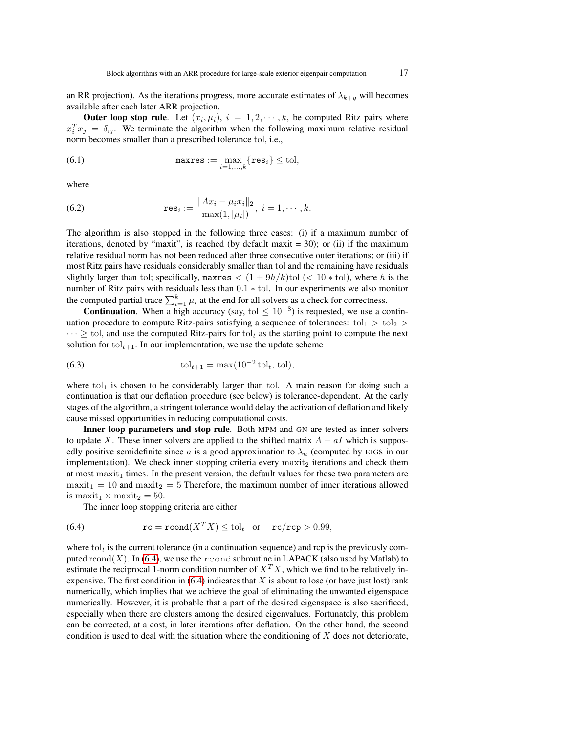an RR projection). As the iterations progress, more accurate estimates of  $\lambda_{k+q}$  will becomes available after each later ARR projection.

**Outer loop stop rule**. Let  $(x_i, \mu_i)$ ,  $i = 1, 2, \dots, k$ , be computed Ritz pairs where  $x_i^T x_j = \delta_{ij}$ . We terminate the algorithm when the following maximum relative residual norm becomes smaller than a prescribed tolerance tol, i.e.,

<span id="page-16-2"></span>(6.1) 
$$
\mathsf{maxres} := \max_{i=1,\ldots,k} \{ \mathbf{res}_i \} \leq \text{tol},
$$

<span id="page-16-1"></span>where

(6.2) 
$$
\mathbf{res}_i := \frac{\|Ax_i - \mu_i x_i\|_2}{\max(1, |\mu_i|)}, i = 1, \cdots, k.
$$

The algorithm is also stopped in the following three cases: (i) if a maximum number of iterations, denoted by "maxit", is reached (by default maxit  $=$  30); or (ii) if the maximum relative residual norm has not been reduced after three consecutive outer iterations; or (iii) if most Ritz pairs have residuals considerably smaller than tol and the remaining have residuals slightly larger than tol; specifically, maxres  $\langle (1+9h/k)t \rangle$  ( $\langle 10* \text{tol} \rangle$ , where h is the number of Ritz pairs with residuals less than 0.1 ∗ tol. In our experiments we also monitor the computed partial trace  $\sum_{i=1}^{k} \mu_i$  at the end for all solvers as a check for correctness.

**Continuation.** When a high accuracy (say, tol  $\leq 10^{-8}$ ) is requested, we use a continuation procedure to compute Ritz-pairs satisfying a sequence of tolerances:  $tol_1 > tol_2$  $\cdots \geq$  tol, and use the computed Ritz-pairs for tol<sub>t</sub> as the starting point to compute the next solution for  $tol_{t+1}$ . In our implementation, we use the update scheme

(6.3) 
$$
\text{tol}_{t+1} = \max(10^{-2} \text{ tol}_t, \text{tol}),
$$

where to $l_1$  is chosen to be considerably larger than tol. A main reason for doing such a continuation is that our deflation procedure (see below) is tolerance-dependent. At the early stages of the algorithm, a stringent tolerance would delay the activation of deflation and likely cause missed opportunities in reducing computational costs.

Inner loop parameters and stop rule. Both MPM and GN are tested as inner solvers to update X. These inner solvers are applied to the shifted matrix  $A - aI$  which is supposedly positive semidefinite since a is a good approximation to  $\lambda_n$  (computed by EIGS in our implementation). We check inner stopping criteria every  $maxit<sub>2</sub>$  iterations and check them at most  $maxit<sub>1</sub>$  times. In the present version, the default values for these two parameters are  $maxit<sub>1</sub> = 10$  and  $maxit<sub>2</sub> = 5$  Therefore, the maximum number of inner iterations allowed is maxit<sub>1</sub>  $\times$  maxit<sub>2</sub> = 50.

<span id="page-16-0"></span>The inner loop stopping criteria are either

(6.4) 
$$
\mathbf{rc} = \mathbf{rcond}(X^T X) \leq \text{tol}_t \quad \text{or} \quad \mathbf{rc}/\mathbf{rcp} > 0.99,
$$

where tol<sub>t</sub> is the current tolerance (in a continuation sequence) and rcp is the previously com-puted rcond(X). In [\(6.4\)](#page-16-0), we use the rcond subroutine in LAPACK (also used by Matlab) to estimate the reciprocal 1-norm condition number of  $X^T X$ , which we find to be relatively inexpensive. The first condition in  $(6.4)$  indicates that X is about to lose (or have just lost) rank numerically, which implies that we achieve the goal of eliminating the unwanted eigenspace numerically. However, it is probable that a part of the desired eigenspace is also sacrificed, especially when there are clusters among the desired eigenvalues. Fortunately, this problem can be corrected, at a cost, in later iterations after deflation. On the other hand, the second condition is used to deal with the situation where the conditioning of  $X$  does not deteriorate,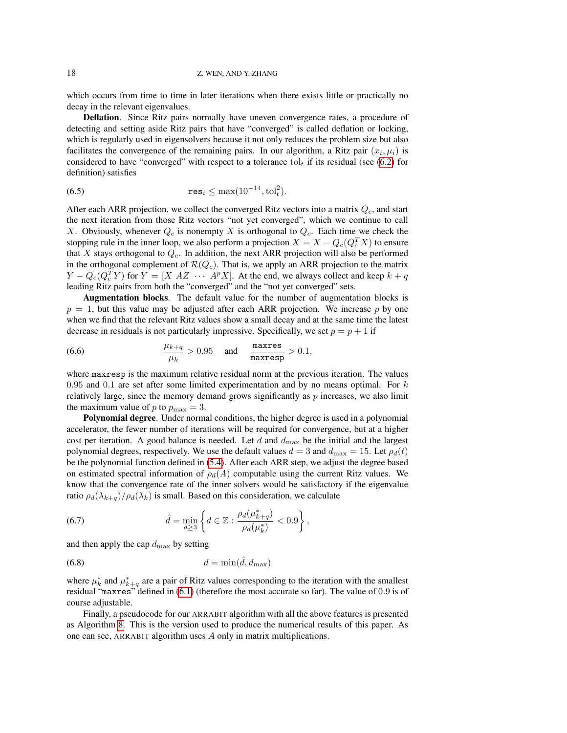which occurs from time to time in later iterations when there exists little or practically no decay in the relevant eigenvalues.

Deflation. Since Ritz pairs normally have uneven convergence rates, a procedure of detecting and setting aside Ritz pairs that have "converged" is called deflation or locking, which is regularly used in eigensolvers because it not only reduces the problem size but also facilitates the convergence of the remaining pairs. In our algorithm, a Ritz pair  $(x_i, \mu_i)$  is considered to have "converged" with respect to a tolerance tol<sub>t</sub> if its residual (see [\(6.2\)](#page-16-1) for definition) satisfies

<span id="page-17-1"></span>(6.5) 
$$
\mathbf{res}_i \leq \max(10^{-14}, \text{tol}_t^2).
$$

After each ARR projection, we collect the converged Ritz vectors into a matrix  $Q_c$ , and start the next iteration from those Ritz vectors "not yet converged", which we continue to call X. Obviously, whenever  $Q_c$  is nonempty X is orthogonal to  $Q_c$ . Each time we check the stopping rule in the inner loop, we also perform a projection  $X = X - Q_c(Q_c^T X)$  to ensure that  $X$  stays orthogonal to  $Q_c$ . In addition, the next ARR projection will also be performed in the orthogonal complement of  $\mathcal{R}(Q_c)$ . That is, we apply an ARR projection to the matrix  $Y - Q_c(Q_c^T Y)$  for  $Y = [X \ A Z \ \cdots \ A^p X]$ . At the end, we always collect and keep  $k + q$ leading Ritz pairs from both the "converged" and the "not yet converged" sets.

Augmentation blocks. The default value for the number of augmentation blocks is  $p = 1$ , but this value may be adjusted after each ARR projection. We increase p by one when we find that the relevant Ritz values show a small decay and at the same time the latest decrease in residuals is not particularly impressive. Specifically, we set  $p = p + 1$  if

<span id="page-17-2"></span>(6.6) 
$$
\frac{\mu_{k+q}}{\mu_k} > 0.95 \quad \text{and} \quad \frac{\text{maxres}}{\text{maxresp}} > 0.1,
$$

where maxresp is the maximum relative residual norm at the previous iteration. The values 0.95 and 0.1 are set after some limited experimentation and by no means optimal. For  $k$ relatively large, since the memory demand grows significantly as  $p$  increases, we also limit the maximum value of p to  $p_{\text{max}} = 3$ .

Polynomial degree. Under normal conditions, the higher degree is used in a polynomial accelerator, the fewer number of iterations will be required for convergence, but at a higher cost per iteration. A good balance is needed. Let d and  $d_{\text{max}}$  be the initial and the largest polynomial degrees, respectively. We use the default values  $d = 3$  and  $d_{\text{max}} = 15$ . Let  $\rho_d(t)$ be the polynomial function defined in [\(5.4\)](#page-14-5). After each ARR step, we adjust the degree based on estimated spectral information of  $\rho_d(A)$  computable using the current Ritz values. We know that the convergence rate of the inner solvers would be satisfactory if the eigenvalue ratio  $\rho_d(\lambda_{k+q})/\rho_d(\lambda_k)$  is small. Based on this consideration, we calculate

<span id="page-17-3"></span>(6.7) 
$$
\hat{d} = \min_{d \ge 3} \left\{ d \in \mathbb{Z} : \frac{\rho_d(\mu_{k+q}^*)}{\rho_d(\mu_k^*)} < 0.9 \right\},
$$

<span id="page-17-4"></span>and then apply the cap  $d_{\text{max}}$  by setting

$$
(6.8) \t\t d = \min(\hat{d}, d_{\max})
$$

where  $\mu_k^*$  and  $\mu_{k+q}^*$  are a pair of Ritz values corresponding to the iteration with the smallest residual "maxres" defined in [\(6.1\)](#page-16-2) (therefore the most accurate so far). The value of 0.9 is of course adjustable.

<span id="page-17-0"></span>Finally, a pseudocode for our ARRABIT algorithm with all the above features is presented as Algorithm [8.](#page-17-0) This is the version used to produce the numerical results of this paper. As one can see, ARRABIT algorithm uses A only in matrix multiplications.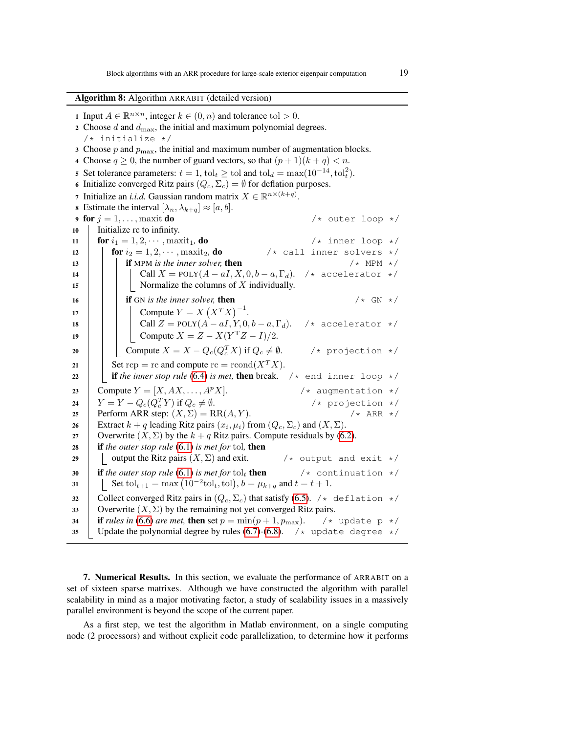Algorithm 8: Algorithm ARRABIT (detailed version)

1 Input  $A \in \mathbb{R}^{n \times n}$ , integer  $k \in (0, n)$  and tolerance tol  $> 0$ . 2 Choose  $d$  and  $d_{\text{max}}$ , the initial and maximum polynomial degrees. /\* initialize \*/ 3 Choose  $p$  and  $p_{\text{max}}$ , the initial and maximum number of augmentation blocks. 4 Choose  $q \ge 0$ , the number of guard vectors, so that  $(p+1)(k+q) < n$ . 5 Set tolerance parameters:  $t = 1$ ,  $tol_t \geq tol$  and  $tol_d = \max(10^{-14}, tol_t^2)$ . 6 Initialize converged Ritz pairs  $(Q_c, \Sigma_c) = \emptyset$  for deflation purposes. 7 Initialize an *i.i.d.* Gaussian random matrix  $X \in \mathbb{R}^{n \times (k+q)}$ . 8 Estimate the interval  $[\lambda_n, \lambda_{k+q}] \approx [a, b]$ . 9 for  $j = 1, \ldots,$  maxit do  $\qquad \qquad$  /\* outer loop \*/ 10 Initialize rc to infinity. 11 **for**  $i_1 = 1, 2, \cdots$ , maxit<sub>1</sub>, **do** /\* inner loop \*/ 12 **for**  $i_2 = 1, 2, \cdots$ , maxit<sub>2</sub>, **do**<br> **13 if** MPM is the inner solver, **then**<br>  $\begin{array}{ccc} \n\star \text{ call inner solvers } \star / \\
\star \text{ MPM } \star / \\
\end{array}$  $13$  **if** MPM is the inner solver, then 14 | | | Call  $X = \text{POLY}(A - aI, X, 0, b - a, \Gamma_d)$ . /\* accelerator \*/ 15  $\parallel$  | | Normalize the columns of X individually. 16 **if** GN is the inner solver, then  $/ *$  GN  $* /$ 17 | | Compute  $Y = X (X^T X)^{-1}$ . 18 | | | Call  $Z = \text{POLY}(A - aI, Y, 0, b - a, \Gamma_d)$ . /\* accelerator \*/ 19 | | Compute  $X = Z - X(Y^TZ - I)/2$ . 20 Compute  $X = X - Q_c(Q_c^T X)$  if  $Q_c \neq \emptyset$ .  $\sqrt{*}$  projection  $*/$ 21 Set  $\text{rep} = \text{rc}$  and compute  $\text{rc} = \text{rcond}(X^T X)$ . 22 **if the inner stop rule** [\(6.4\)](#page-16-0) is met, **then** break.  $\neq$  end inner loop  $\neq$ 23 Compute  $Y = [X, AX, \ldots, A^p X].$  /\* augmentation \*/ 24  $Y = Y - Q_c(Q_c^T Y)$  if  $Q_c \neq \emptyset$ .  $\frac{1}{x}$  projection  $\frac{x}{x}$ <br> $\frac{x}{x}$  ARR  $\frac{x}{x}$ 25 Perform ARR step:  $(X, \Sigma) = RR(A, Y)$ . 26 Extract  $k + q$  leading Ritz pairs  $(x_i, \mu_i)$  from  $(Q_c, \Sigma_c)$  and  $(X, \Sigma)$ . 27 Cverwrite  $(X, \Sigma)$  by the  $k + q$  Ritz pairs. Compute residuals by [\(6.2\)](#page-16-1). <sup>28</sup> if *the outer stop rule* [\(6.1\)](#page-16-2) *is met for* tol*,* then 29  $\vert$  output the Ritz pairs  $(X, \Sigma)$  and exit.  $\vert$   $\star$  output and exit  $\star$ / 30 **if** the outer stop rule [\(6.1\)](#page-16-2) is met for tol<sub>t</sub> then  $\frac{1}{x}$  continuation  $\frac{x}{x}$ 31 Set to  $l_{t+1} = \max (10^{-2} \text{tol}_t, \text{tol}), b = \mu_{k+q}$  and  $t = t + 1$ . 32 Collect converged Ritz pairs in  $(Q_c, \Sigma_c)$  that satisfy [\(6.5\)](#page-17-1). /\* deflation \*/ 33 Overwrite  $(X, \Sigma)$  by the remaining not yet converged Ritz pairs. 34 **if** *rules in* [\(6.6\)](#page-17-2) *are met*, then set  $p = min(p+1, p_{\text{max}})$ . /\* update p \*/ 35 Update the polynomial degree by rules [\(6.7\)](#page-17-3)-[\(6.8\)](#page-17-4).  $\rightarrow \infty$  update degree  $\rightarrow$ 

<span id="page-18-0"></span>7. Numerical Results. In this section, we evaluate the performance of ARRABIT on a set of sixteen sparse matrixes. Although we have constructed the algorithm with parallel scalability in mind as a major motivating factor, a study of scalability issues in a massively parallel environment is beyond the scope of the current paper.

As a first step, we test the algorithm in Matlab environment, on a single computing node (2 processors) and without explicit code parallelization, to determine how it performs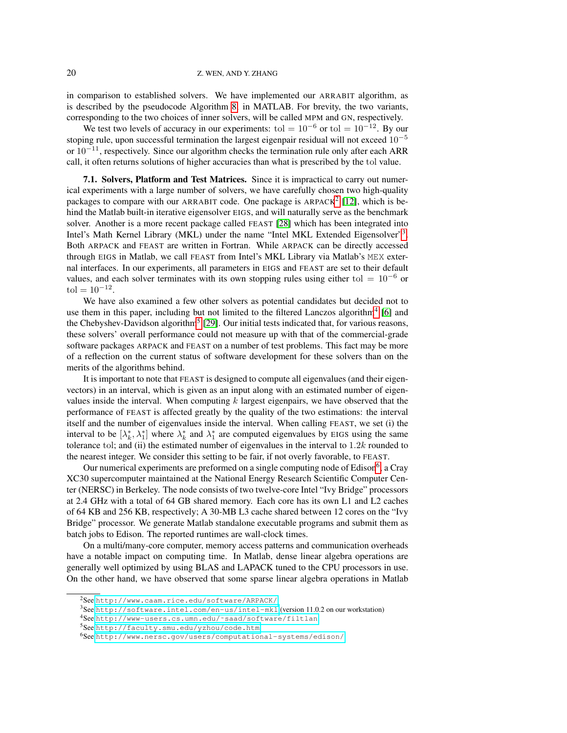in comparison to established solvers. We have implemented our ARRABIT algorithm, as is described by the pseudocode Algorithm [8,](#page-17-0) in MATLAB. For brevity, the two variants, corresponding to the two choices of inner solvers, will be called MPM and GN, respectively.

We test two levels of accuracy in our experiments: tol =  $10^{-6}$  or tol =  $10^{-12}$ . By our stoping rule, upon successful termination the largest eigenpair residual will not exceed  $10^{-5}$ or  $10^{-11}$ , respectively. Since our algorithm checks the termination rule only after each ARR call, it often returns solutions of higher accuracies than what is prescribed by the tol value.

7.1. Solvers, Platform and Test Matrices. Since it is impractical to carry out numerical experiments with a large number of solvers, we have carefully chosen two high-quality packages to compare with our ARRABIT code. One package is ARPACK<sup>[2](#page-19-0)</sup> [\[12\]](#page-32-3), which is behind the Matlab built-in iterative eigensolver EIGS, and will naturally serve as the benchmark solver. Another is a more recent package called FEAST [\[28\]](#page-32-15) which has been integrated into Intel's Math Kernel Library (MKL) under the name "Intel MKL Extended Eigensolver"[3](#page-19-1). Both ARPACK and FEAST are written in Fortran. While ARPACK can be directly accessed through EIGS in Matlab, we call FEAST from Intel's MKL Library via Matlab's MEX external interfaces. In our experiments, all parameters in EIGS and FEAST are set to their default values, and each solver terminates with its own stopping rules using either tol =  $10^{-6}$  or  $\text{tol} = 10^{-12}.$ 

We have also examined a few other solvers as potential candidates but decided not to use them in this paper, including but not limited to the filtered Lanczos algorithm<sup>[4](#page-19-2)</sup> [\[6\]](#page-31-4) and the Chebyshev-Davidson algorithm<sup>[5](#page-19-3)</sup> [\[29\]](#page-32-6). Our initial tests indicated that, for various reasons, these solvers' overall performance could not measure up with that of the commercial-grade software packages ARPACK and FEAST on a number of test problems. This fact may be more of a reflection on the current status of software development for these solvers than on the merits of the algorithms behind.

It is important to note that FEAST is designed to compute all eigenvalues (and their eigenvectors) in an interval, which is given as an input along with an estimated number of eigenvalues inside the interval. When computing  $k$  largest eigenpairs, we have observed that the performance of FEAST is affected greatly by the quality of the two estimations: the interval itself and the number of eigenvalues inside the interval. When calling FEAST, we set (i) the interval to be  $[\lambda_k^*, \lambda_1^*]$  where  $\lambda_k^*$  and  $\lambda_1^*$  are computed eigenvalues by EIGS using the same tolerance tol; and (ii) the estimated number of eigenvalues in the interval to  $1.2k$  rounded to the nearest integer. We consider this setting to be fair, if not overly favorable, to FEAST.

Our numerical experiments are preformed on a single computing node of Edison<sup>[6](#page-19-4)</sup>, a Cray XC30 supercomputer maintained at the National Energy Research Scientific Computer Center (NERSC) in Berkeley. The node consists of two twelve-core Intel "Ivy Bridge" processors at 2.4 GHz with a total of 64 GB shared memory. Each core has its own L1 and L2 caches of 64 KB and 256 KB, respectively; A 30-MB L3 cache shared between 12 cores on the "Ivy Bridge" processor. We generate Matlab standalone executable programs and submit them as batch jobs to Edison. The reported runtimes are wall-clock times.

On a multi/many-core computer, memory access patterns and communication overheads have a notable impact on computing time. In Matlab, dense linear algebra operations are generally well optimized by using BLAS and LAPACK tuned to the CPU processors in use. On the other hand, we have observed that some sparse linear algebra operations in Matlab

<span id="page-19-0"></span><sup>2</sup>See <http://www.caam.rice.edu/software/ARPACK/>

<span id="page-19-1"></span><sup>3</sup>See <http://software.intel.com/en-us/intel-mkl> (version 11.0.2 on our workstation)

<span id="page-19-2"></span><sup>4</sup>See [http://www-users.cs.umn.edu/˜saad/software/filtlan](http://www-users.cs.umn.edu/~saad/software/filtlan)

<span id="page-19-3"></span><sup>5</sup>See <http://faculty.smu.edu/yzhou/code.htm>

<span id="page-19-4"></span><sup>6</sup>See <http://www.nersc.gov/users/computational-systems/edison/>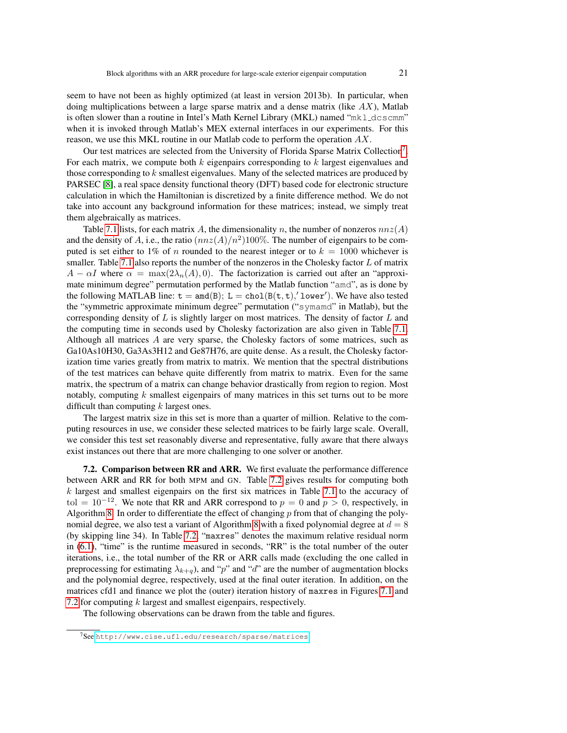seem to have not been as highly optimized (at least in version 2013b). In particular, when doing multiplications between a large sparse matrix and a dense matrix (like  $AX$ ), Matlab is often slower than a routine in Intel's Math Kernel Library (MKL) named " $mk$   $l$   $dc$ scmm" when it is invoked through Matlab's MEX external interfaces in our experiments. For this reason, we use this MKL routine in our Matlab code to perform the operation AX.

Our test matrices are selected from the University of Florida Sparse Matrix Collection<sup>[7](#page-20-0)</sup>. For each matrix, we compute both  $k$  eigenpairs corresponding to  $k$  largest eigenvalues and those corresponding to  $k$  smallest eigenvalues. Many of the selected matrices are produced by PARSEC [\[8\]](#page-31-7), a real space density functional theory (DFT) based code for electronic structure calculation in which the Hamiltonian is discretized by a finite difference method. We do not take into account any background information for these matrices; instead, we simply treat them algebraically as matrices.

Table [7.1](#page-21-0) lists, for each matrix A, the dimensionality n, the number of nonzeros  $nnz(A)$ and the density of A, i.e., the ratio  $(nnz(A)/n^2)100\%$ . The number of eigenpairs to be computed is set either to 1% of n rounded to the nearest integer or to  $k = 1000$  whichever is smaller. Table [7.1](#page-21-0) also reports the number of the nonzeros in the Cholesky factor  $L$  of matrix  $A - \alpha I$  where  $\alpha = \max(2\lambda_n(A), 0)$ . The factorization is carried out after an "approximate minimum degree" permutation performed by the Matlab function "amd", as is done by the following MATLAB line:  $t = \text{and}(B)$ ;  $L = \text{chol}(B(t, t), 'lower')$ . We have also tested the "symmetric approximate minimum degree" permutation ("symamd" in Matlab), but the corresponding density of  $L$  is slightly larger on most matrices. The density of factor  $L$  and the computing time in seconds used by Cholesky factorization are also given in Table [7.1.](#page-21-0) Although all matrices A are very sparse, the Cholesky factors of some matrices, such as Ga10As10H30, Ga3As3H12 and Ge87H76, are quite dense. As a result, the Cholesky factorization time varies greatly from matrix to matrix. We mention that the spectral distributions of the test matrices can behave quite differently from matrix to matrix. Even for the same matrix, the spectrum of a matrix can change behavior drastically from region to region. Most notably, computing  $k$  smallest eigenpairs of many matrices in this set turns out to be more difficult than computing  $k$  largest ones.

The largest matrix size in this set is more than a quarter of million. Relative to the computing resources in use, we consider these selected matrices to be fairly large scale. Overall, we consider this test set reasonably diverse and representative, fully aware that there always exist instances out there that are more challenging to one solver or another.

7.2. Comparison between RR and ARR. We first evaluate the performance difference between ARR and RR for both MPM and GN. Table [7.2](#page-22-0) gives results for computing both  $k$  largest and smallest eigenpairs on the first six matrices in Table [7.1](#page-21-0) to the accuracy of tol =  $10^{-12}$ . We note that RR and ARR correspond to  $p = 0$  and  $p > 0$ , respectively, in Algorithm [8.](#page-17-0) In order to differentiate the effect of changing  $p$  from that of changing the poly-nomial degree, we also test a variant of Algorithm [8](#page-17-0) with a fixed polynomial degree at  $d = 8$ (by skipping line 34). In Table [7.2,](#page-22-0) "maxres" denotes the maximum relative residual norm in [\(6.1\)](#page-16-2), "time" is the runtime measured in seconds, "RR" is the total number of the outer iterations, i.e., the total number of the RR or ARR calls made (excluding the one called in preprocessing for estimating  $\lambda_{k+q}$ , and "p" and "d" are the number of augmentation blocks and the polynomial degree, respectively, used at the final outer iteration. In addition, on the matrices cfd1 and finance we plot the (outer) iteration history of maxres in Figures [7.1](#page-15-1) and [7.2](#page-23-0) for computing k largest and smallest eigenpairs, respectively.

The following observations can be drawn from the table and figures.

<span id="page-20-0"></span><sup>7</sup>See <http://www.cise.ufl.edu/research/sparse/matrices>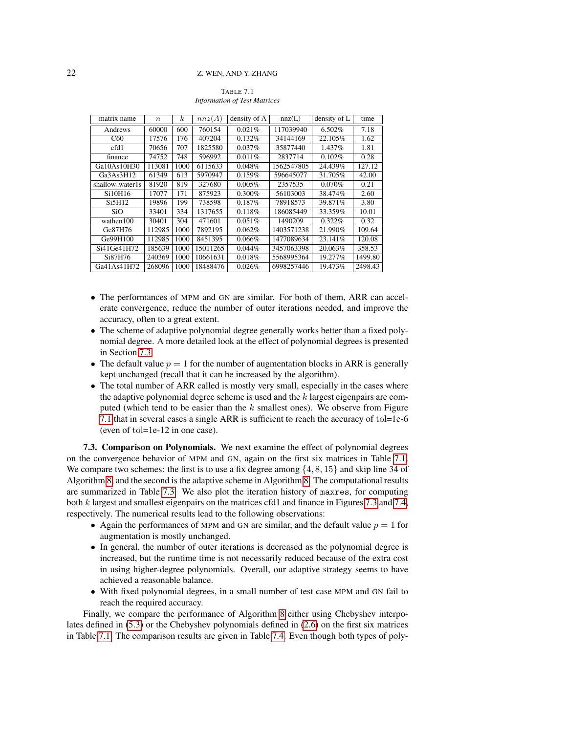<span id="page-21-0"></span>TABLE 7.1 *Information of Test Matrices*

| matrix name     | $\boldsymbol{n}$ | $\boldsymbol{k}$ | nnz(A)   | density of A | nnz(L)     | density of L | time    |
|-----------------|------------------|------------------|----------|--------------|------------|--------------|---------|
| Andrews         | 60000            | 600              | 760154   | 0.021%       | 117039940  | 6.502%       | 7.18    |
| C60             | 17576            | 176              | 407204   | 0.132%       | 34144169   | 22.105%      | 1.62    |
| cfd1            | 70656            | 707              | 1825580  | $0.037\%$    | 35877440   | 1.437%       | 1.81    |
| finance         | 74752            | 748              | 596992   | 0.011%       | 2837714    | 0.102%       | 0.28    |
| Ga10As10H30     | 113081           | 1000             | 6115633  | 0.048%       | 1562547805 | 24.439%      | 127.12  |
| Ga3As3H12       | 61349            | 613              | 5970947  | 0.159%       | 596645077  | 31.705%      | 42.00   |
| shallow_water1s | 81920            | 819              | 327680   | $0.005\%$    | 2357535    | $0.070\%$    | 0.21    |
| Si10H16         | 17077            | 171              | 875923   | 0.300%       | 56103003   | 38.474%      | 2.60    |
| Si5H12          | 19896            | 199              | 738598   | 0.187%       | 78918573   | 39.871%      | 3.80    |
| SiO             | 33401            | 334              | 1317655  | 0.118%       | 186085449  | 33.359%      | 10.01   |
| wathen100       | 30401            | 304              | 471601   | 0.051%       | 1490209    | 0.322%       | 0.32    |
| Ge87H76         | 112985           | 1000             | 7892195  | 0.062%       | 1403571238 | 21.990%      | 109.64  |
| Ge99H100        | 112985           | 1000             | 8451395  | 0.066%       | 1477089634 | 23.141%      | 120.08  |
| Si41Ge41H72     | 185639           | 1000             | 15011265 | 0.044%       | 3457063398 | 20.063%      | 358.53  |
| Si87H76         | 240369           | 1000             | 10661631 | 0.018%       | 5568995364 | 19.277%      | 1499.80 |
| Ga41As41H72     | 268096           | 1000             | 18488476 | 0.026%       | 6998257446 | 19.473%      | 2498.43 |

- The performances of MPM and GN are similar. For both of them, ARR can accelerate convergence, reduce the number of outer iterations needed, and improve the accuracy, often to a great extent.
- The scheme of adaptive polynomial degree generally works better than a fixed polynomial degree. A more detailed look at the effect of polynomial degrees is presented in Section [7.3.](#page-21-1)
- The default value  $p = 1$  for the number of augmentation blocks in ARR is generally kept unchanged (recall that it can be increased by the algorithm).
- The total number of ARR called is mostly very small, especially in the cases where the adaptive polynomial degree scheme is used and the  $k$  largest eigenpairs are computed (which tend to be easier than the  $k$  smallest ones). We observe from Figure [7.1](#page-15-1) that in several cases a single ARR is sufficient to reach the accuracy of tol=1e-6 (even of tol=1e-12 in one case).

<span id="page-21-1"></span>7.3. Comparison on Polynomials. We next examine the effect of polynomial degrees on the convergence behavior of MPM and GN, again on the first six matrices in Table [7.1.](#page-21-0) We compare two schemes: the first is to use a fix degree among  $\{4, 8, 15\}$  and skip line 34 of Algorithm [8,](#page-17-0) and the second is the adaptive scheme in Algorithm [8.](#page-17-0) The computational results are summarized in Table [7.3.](#page-25-0) We also plot the iteration history of maxres, for computing both  $k$  largest and smallest eigenpairs on the matrices cfd1 and finance in Figures [7.3](#page-24-0) and [7.4,](#page-24-1) respectively. The numerical results lead to the following observations:

- Again the performances of MPM and GN are similar, and the default value  $p = 1$  for augmentation is mostly unchanged.
- In general, the number of outer iterations is decreased as the polynomial degree is increased, but the runtime time is not necessarily reduced because of the extra cost in using higher-degree polynomials. Overall, our adaptive strategy seems to have achieved a reasonable balance.
- With fixed polynomial degrees, in a small number of test case MPM and GN fail to reach the required accuracy.

Finally, we compare the performance of Algorithm [8](#page-17-0) either using Chebyshev interpolates defined in [\(5.3\)](#page-14-3) or the Chebyshev polynomials defined in [\(2.6\)](#page-5-2) on the first six matrices in Table [7.1.](#page-21-0) The comparison results are given in Table [7.4.](#page-26-0) Even though both types of poly-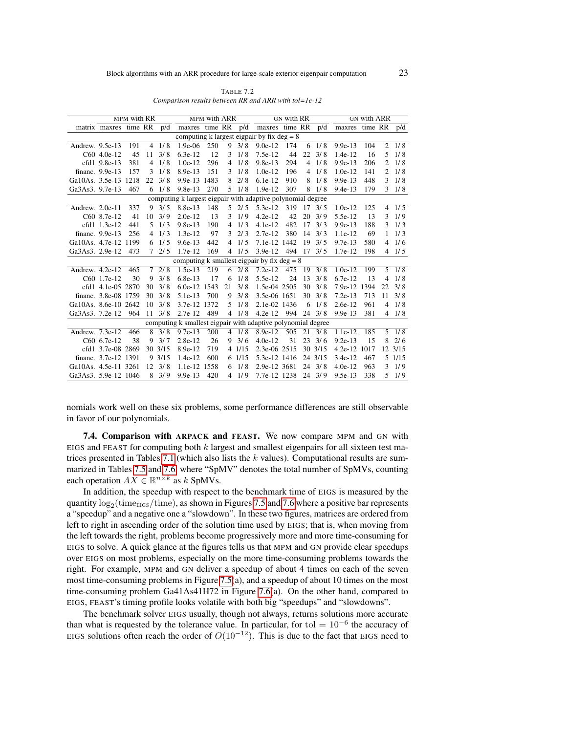<span id="page-22-0"></span>

| TABLE 7.2                                                  |
|------------------------------------------------------------|
| Comparison results between RR and ARR with $tol = le - 12$ |

|                      |                       | MPM with RR |                |                 |                                                              | MPM with ARR |                |                 |                                                     | <b>GN</b> with RR |                 |                | <b>GN with ARR</b> |         |                |                 |
|----------------------|-----------------------|-------------|----------------|-----------------|--------------------------------------------------------------|--------------|----------------|-----------------|-----------------------------------------------------|-------------------|-----------------|----------------|--------------------|---------|----------------|-----------------|
|                      | matrix maxres time RR |             |                | p/d             | maxres time RR p/d                                           |              |                |                 | maxres time RR                                      |                   |                 | p/d            | maxres             | time RR |                | p/d             |
|                      |                       |             |                |                 |                                                              |              |                |                 | computing k largest eigpair by fix $\text{deg} = 8$ |                   |                 |                |                    |         |                |                 |
| Andrew. 9.5e-13      |                       | 191         | $\overline{4}$ | 1/8             | $1.9e-06$                                                    | 250          | 9              | 3/8             | $9.0e-12$                                           | 174               | 6               | 1/8            | $9.9e-13$          | 104     | $\overline{2}$ | 1/8             |
|                      | C60 4.0e-12           | 45          | 11             | 3/8             | $6.3e-12$                                                    | 12           | 3              | 1/8             | $7.5e-12$                                           | 44                | 22              | 3/8            | $1.4e-12$          | 16      | 5              | 1/8             |
|                      | cfd1 9.8e-13          | 381         | 4              | 1/8             | $1.0e-12$                                                    | 296          | 4              | 1/8             | 9.8e-13                                             | 294               | 4               | 1/8            | $9.9e-13$          | 206     | 2              | 1/8             |
|                      | financ. 9.9e-13       | 157         | 3              | 1/8             | 8.9e-13                                                      | 151          | 3              | 1/8             | $1.0e-12$                                           | 196               | $\overline{4}$  | 1/8            | $1.0e-12$          | 141     | 2              | 1/8             |
| Ga10As, 3.5e-13 1218 |                       |             | 22             | 3/8             | 9.9e-13 1483                                                 |              | 8              | 2/8             | $6.1e-12$                                           | 910               | 8               | 1/8            | $9.9e-13$          | 448     | 3              | 1/8             |
| Ga3As3, 9.7e-13      |                       | 467         |                | $6 \frac{1}{8}$ | $9.8e-13$                                                    | 270          | 5              | 1/8             | 1.9e-12                                             | 307               | 8               | 1/8            | $9.4e-13$          | 179     |                | $3 \frac{1}{8}$ |
|                      |                       |             |                |                 | computing k largest eigpair with adaptive polynomial degree  |              |                |                 |                                                     |                   |                 |                |                    |         |                |                 |
| Andrew. 2.0e-11      |                       | 337         |                | $9 \frac{3}{5}$ | 8.8e-13                                                      | 148          | $5^{\circ}$    | 2/5             | $5.3e-12$                                           | 319               | 17              | 3/5            | $1.0e-12$          | 125     | $\overline{4}$ | 1/5             |
|                      | C60 8.7e-12           | 41          | 10             | 3/9             | $2.0e-12$                                                    | 13           | 3              | 1/9             | $4.2e-12$                                           | 42                | 20              | 3/9            | 5.5e-12            | 13      | 3              | 1/9             |
|                      | cfd1 1.3e-12          | 441         | 5              | 1/3             | $9.8e-13$                                                    | 190          | $\overline{4}$ | 1/3             | $4.1e-12$                                           | 482               | 17              | 3/3            | $9.9e-13$          | 188     | 3              | 1/3             |
|                      | financ. 9.9e-13       | 256         | $\overline{4}$ | 1/3             | $1.3e-12$                                                    | 97           | 3              | 2/3             | $2.7e-12$                                           | 380               | 14              | 3/3            | 1.1e-12            | 69      | $\mathbf{1}$   | 1/3             |
| Ga10As, 4.7e-12 1199 |                       |             |                | $6\frac{1}{5}$  | $9.6e-13$                                                    | 442          |                | $4 \frac{1}{5}$ | 7.1e-12 1442                                        |                   | 19              | 3/5            | $9.7e-13$          | 580     | $\overline{4}$ | 1/6             |
| Ga3As3. 2.9e-12      |                       | 473         |                | 72/5            | 1.7e-12                                                      | 169          | $\overline{4}$ | 1/5             | $3.9e-12$                                           | 494               | 17              | 3/5            | $1.7e-12$          | 198     |                | 41/5            |
|                      |                       |             |                |                 | computing k smallest eigpair by fix $deg = 8$                |              |                |                 |                                                     |                   |                 |                |                    |         |                |                 |
| Andrew. 4.2e-12      |                       | 465         | $7^{\circ}$    | $\sqrt{2/8}$    | $1.5e-13$                                                    | 219          |                | $6\frac{2}{8}$  | $7.2e-12$                                           | $4\overline{75}$  | 19              | 3/8            | $1.0e-12$          | 199     | 5 <sup>1</sup> | 1/8             |
|                      | C60 1.7e-12           | 30          | 9              | 3/8             | $6.8e-13$                                                    | 17           | 6              | 1/8             | 5.5e-12                                             | 24                | 13              | 3/8            | $6.7e-12$          | 13      | 4              | 1/8             |
|                      | cfd1 4.1e-05 2870     |             | 30             | 3/8             | 6.0e-12 1543                                                 |              | 21             | 3/8             | 1.5e-04 2505                                        |                   | 30              | 3/8            | 7.9e-12 1394       |         | 22             | 3/8             |
|                      | financ. 3.8e-08 1759  |             | 30             | 3/8             | $5.1e-13$                                                    | 700          | 9              | 3/8             | 3.5e-06 1651                                        |                   | 30              | 3/8            | $7.2e-13$          | 713     | 11             | 3/8             |
| Ga10As, 8.6e-10 2642 |                       |             | 10             | 3/8             | 3.7e-12 1372                                                 |              | 5              | 1/8             | 2.1e-02 1436                                        |                   | 6               | 1/8            | $2.6e-12$          | 961     | 4              | 1/8             |
| Ga3As3. 7.2e-12      |                       | 964         | 11             | 3/8             | $2.7e-12$                                                    | 489          | $\overline{4}$ | 1/8             | $4.2e-12$                                           | 994               | 24              | 3/8            | $9.9e-13$          | 381     |                | 41/8            |
|                      |                       |             |                |                 | computing k smallest eigpair with adaptive polynomial degree |              |                |                 |                                                     |                   |                 |                |                    |         |                |                 |
| Andrew. 7.3e-12      |                       | 466         |                | $8 \frac{3}{8}$ | $9.7e-13$                                                    | 200          |                | $4 \frac{1}{8}$ | $8.9e-12$                                           | $\overline{505}$  | $\overline{2}1$ | 3/8            | 1.1e-12            | 185     |                | $5 \frac{1}{8}$ |
|                      | C60 6.7e-12           | 38          | 9              | 3/7             | $2.8e-12$                                                    | 26           | 9              | 3/6             | $4.0e-12$                                           | 31                | 23              | 3/6            | $9.2e-13$          | 15      | 8              | 2/6             |
|                      | cfd1 3.7e-08 2869     |             |                | 30 3/15         | 8.9e-12                                                      | 719          |                | 4 1/15          | 2.3e-06 2515                                        |                   |                 | 30 3/15        | 4.2e-12 1017       |         |                | 12 3/15         |
|                      | financ. 3.7e-12 1391  |             |                | 93/15           | $1.4e-12$                                                    | 600          |                | 6 1/15          | 5.3e-12 1416                                        |                   |                 | 24 3/15        | 3.4e-12            | 467     |                | 5 1/15          |
| Ga10As, 4.5e-11 3261 |                       |             | 12             | 3/8             | 1.1e-12                                                      | 1558         |                | $6 \frac{1}{8}$ | 2.9e-12 3681                                        |                   | 24              | 3/8            | $4.0e-12$          | 963     | 3              | 1/9             |
| Ga3As3. 5.9e-12 1046 |                       |             |                | $8 \frac{3}{9}$ | $9.9e-13$                                                    | 420          |                | 41/9            | 7.7e-12 1238                                        |                   |                 | $24 \quad 3/9$ | $9.5e-13$          | 338     |                | 51/9            |

nomials work well on these six problems, some performance differences are still observable in favor of our polynomials.

7.4. Comparison with ARPACK and FEAST. We now compare MPM and GN with EIGS and FEAST for computing both  $k$  largest and smallest eigenpairs for all sixteen test ma-trices presented in Tables [7.1](#page-21-0) (which also lists the  $k$  values). Computational results are summarized in Tables [7.5](#page-28-0) and [7.6,](#page-29-2) where "SpMV" denotes the total number of SpMVs, counting each operation  $AX \in \mathbb{R}^{n \times k}$  as k SpMVs.

In addition, the speedup with respect to the benchmark time of EIGS is measured by the quantity  $\log_2(\rm{time_{EIGS}}/time)$ , as shown in Figures [7.5](#page-27-1) and [7.6](#page-27-2) where a positive bar represents a "speedup" and a negative one a "slowdown". In these two figures, matrices are ordered from left to right in ascending order of the solution time used by EIGS; that is, when moving from the left towards the right, problems become progressively more and more time-consuming for EIGS to solve. A quick glance at the figures tells us that MPM and GN provide clear speedups over EIGS on most problems, especially on the more time-consuming problems towards the right. For example, MPM and GN deliver a speedup of about 4 times on each of the seven most time-consuming problems in Figure [7.5\(](#page-27-1)a), and a speedup of about 10 times on the most time-consuming problem Ga41As41H72 in Figure [7.6\(](#page-27-2)a). On the other hand, compared to EIGS, FEAST's timing profile looks volatile with both big "speedups" and "slowdowns".

The benchmark solver EIGS usually, though not always, returns solutions more accurate than what is requested by the tolerance value. In particular, for tol  $= 10^{-6}$  the accuracy of EIGS solutions often reach the order of  $O(10^{-12})$ . This is due to the fact that EIGS need to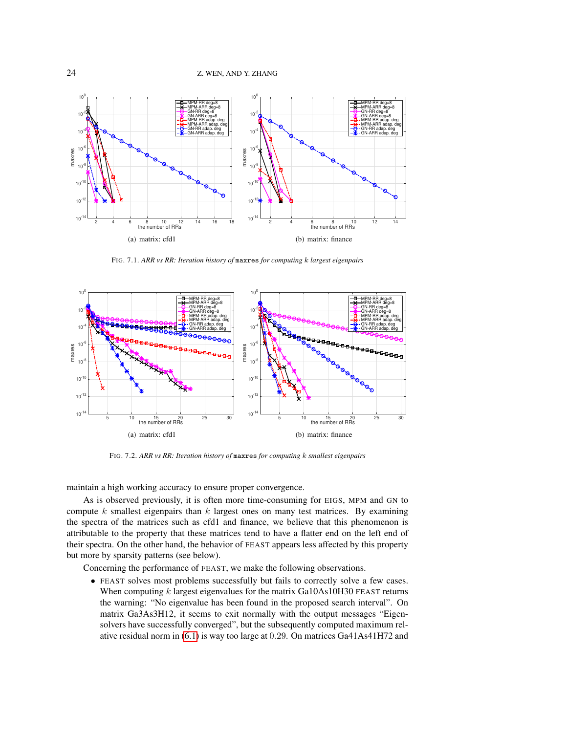

FIG. 7.1. *ARR vs RR: Iteration history of* maxres *for computing* k *largest eigenpairs*



<span id="page-23-0"></span>FIG. 7.2. *ARR vs RR: Iteration history of* maxres *for computing* k *smallest eigenpairs*

maintain a high working accuracy to ensure proper convergence.

As is observed previously, it is often more time-consuming for EIGS, MPM and GN to compute  $k$  smallest eigenpairs than  $k$  largest ones on many test matrices. By examining the spectra of the matrices such as cfd1 and finance, we believe that this phenomenon is attributable to the property that these matrices tend to have a flatter end on the left end of their spectra. On the other hand, the behavior of FEAST appears less affected by this property but more by sparsity patterns (see below).

Concerning the performance of FEAST, we make the following observations.

• FEAST solves most problems successfully but fails to correctly solve a few cases. When computing  $k$  largest eigenvalues for the matrix Ga10As10H30 FEAST returns the warning: "No eigenvalue has been found in the proposed search interval". On matrix Ga3As3H12, it seems to exit normally with the output messages "Eigensolvers have successfully converged", but the subsequently computed maximum relative residual norm in [\(6.1\)](#page-16-2) is way too large at 0.29. On matrices Ga41As41H72 and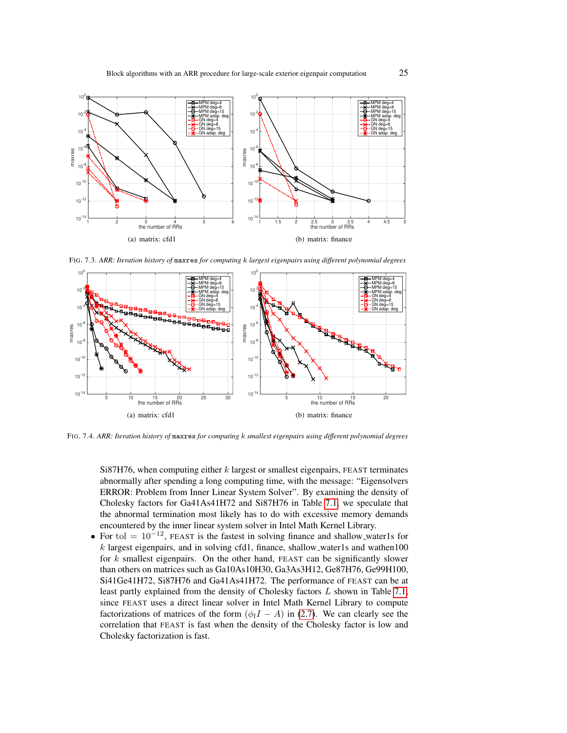

<span id="page-24-0"></span>FIG. 7.3. *ARR: Iteration history of* maxres *for computing* k *largest eigenpairs using different polynomial degrees*



<span id="page-24-1"></span>FIG. 7.4. *ARR: Iteration history of* maxres *for computing* k *smallest eigenpairs using different polynomial degrees*

Si87H76, when computing either  $k$  largest or smallest eigenpairs, FEAST terminates abnormally after spending a long computing time, with the message: "Eigensolvers ERROR: Problem from Inner Linear System Solver". By examining the density of Cholesky factors for Ga41As41H72 and Si87H76 in Table [7.1,](#page-21-0) we speculate that the abnormal termination most likely has to do with excessive memory demands encountered by the inner linear system solver in Intel Math Kernel Library.

• For tol  $= 10^{-12}$ , FEAST is the fastest in solving finance and shallow\_water1s for  $k$  largest eigenpairs, and in solving cfd1, finance, shallow water1s and wathen100 for  $k$  smallest eigenpairs. On the other hand, FEAST can be significantly slower than others on matrices such as Ga10As10H30, Ga3As3H12, Ge87H76, Ge99H100, Si41Ge41H72, Si87H76 and Ga41As41H72. The performance of FEAST can be at least partly explained from the density of Cholesky factors L shown in Table [7.1,](#page-21-0) since FEAST uses a direct linear solver in Intel Math Kernel Library to compute factorizations of matrices of the form  $(\phi_l I - A)$  in [\(2.7\)](#page-5-1). We can clearly see the correlation that FEAST is fast when the density of the Cholesky factor is low and Cholesky factorization is fast.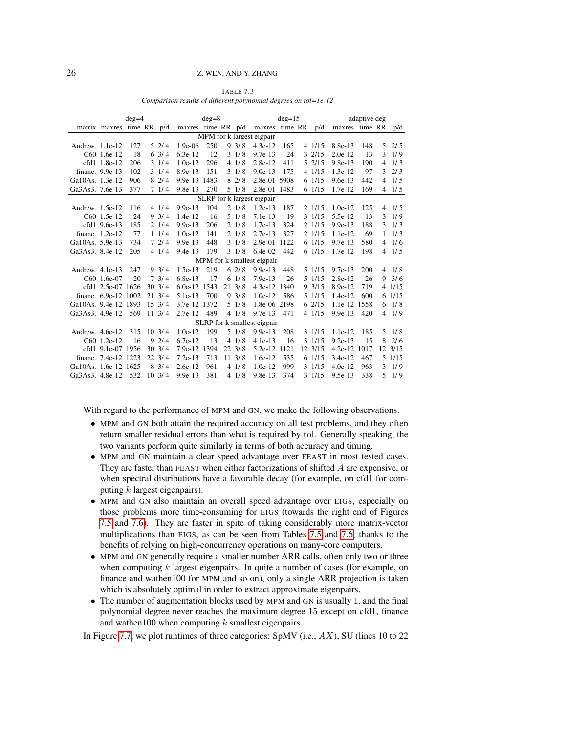|                      |                      | $deg=4$     |                   |                    | $deg=8$ |                  |                 |                             | $deg=15$ |         | adaptive $\overline{\text{deg}}$ |         |   |                  |  |
|----------------------|----------------------|-------------|-------------------|--------------------|---------|------------------|-----------------|-----------------------------|----------|---------|----------------------------------|---------|---|------------------|--|
|                      | matrix maxres        | time RR p/d |                   | maxres time RR p/d |         |                  |                 | maxres time RR              |          | p/d     | maxres                           | time RR |   | p/d              |  |
|                      |                      |             |                   |                    |         |                  |                 | MPM for k largest eigpair   |          |         |                                  |         |   |                  |  |
| Andrew. 1.1e-12      |                      | 127         | 52/4              | $1.9e-06$          | 250     |                  | 9.3/8           | $4.3e-12$                   | 165      | 4 1/15  | 8.8e-13                          | 148     |   | $5 \t2/5$        |  |
|                      | C60 1.6e-12          | 18          | $6 \frac{3}{4}$   | $6.3e-12$          | 12      |                  | $3 \frac{1}{8}$ | $9.7e-13$                   | 24       | 32/15   | $2.0e-12$                        | 13      | 3 | 1/9              |  |
|                      | cfd1 1.8e-12         | 206         | 31/4              | $1.0e-12$          | 296     |                  | 41/8            | $2.8e-12$                   | 411      | 5 2/15  | $9.8e-13$                        | 190     | 4 | 1/3              |  |
|                      | financ. 9.9e-13      | 102         | 31/4              | $8.9e-13$          | 151     |                  | 31/8            | $9.0e-13$                   | 175      | 4 1/15  | $1.3e-12$                        | 97      | 3 | 2/3              |  |
| Ga10As. 1.3e-12      |                      | 906         | 82/4              | 9.9e-13 1483       |         |                  | 82/8            | 2.8e-01 5908                |          | 6 1/15  | $9.6e-13$                        | 442     | 4 | 1/5              |  |
| Ga3As3. 7.6e-13      |                      | 377         | 71/4              | $9.8e-13$          | 270     |                  | 5 1/8           | 2.8e-01 1483                |          | 6 1/15  | 1.7e-12                          | 169     | 4 | 1/5              |  |
|                      |                      |             |                   |                    |         |                  |                 | SLRP for k largest eigpair  |          |         |                                  |         |   |                  |  |
| Andrew. 1.5e-12      |                      | 116         | 41/4              | 9.9e-13            | 104     |                  | 21/8            | $1.2e-13$                   | 187      | 2 1/15  | $1.0e-12$                        | 125     | 4 | 1/5              |  |
|                      | C60 1.5e-12          | 24          | $9 \frac{3}{4}$   | $1.4e-12$          | 16      |                  | 51/8            | $7.1e-13$                   | 19       | 3 1/15  | 5.5e-12                          | 13      | 3 | 1/9              |  |
|                      | cfd1 9.6e-13         | 185         | 21/4              | $9.9e-13$          | 206     | 2                | 1/8             | $1.7e-13$                   | 324      | 2 1/15  | $9.9e-13$                        | 188     | 3 | 1/3              |  |
|                      | financ. 1.2e-12      | 77          | 11/4              | $1.0e-12$          | 141     |                  | 21/8            | $2.7e-13$                   | 327      | 2 1/15  | 1.1e-12                          | 69      | 1 | 1/3              |  |
| Ga10As, 5.9e-13      |                      | 734         | 72/4              | $9.9e-13$          | 448     |                  | $3 \frac{1}{8}$ | $2.9e-01$                   | 1122     | 61/15   | $9.7e-13$                        | 580     | 4 | 1/6              |  |
| Ga3As3, 8.4e-12      |                      | 205         | 41/4              | $9.4e-13$          | 179     |                  | $3 \frac{1}{8}$ | $6.4e-02$                   | 442      | 6 1/15  | 1.7e-12                          | 198     | 4 | 1/5              |  |
|                      |                      |             |                   |                    |         |                  |                 | MPM for k smallest eigpair  |          |         |                                  |         |   |                  |  |
| Andrew. 4.1e-13      |                      | 247         | $9 \frac{3}{4}$   | $1.5e-13$          | 219     |                  | 62/8            | $9.9e-13$                   | 448      | 5 1/15  | $9.7e-13$                        | 200     | 4 | $\overline{1/8}$ |  |
|                      | C60 1.6e-07          | 20          | 7.3/4             | $6.8e-13$          | 17      | 6                | 1/8             | $7.9e-13$                   | 26       | 5 1/15  | 2.8e-12                          | 26      | 9 | 3/6              |  |
|                      | cfd1 2.5e-07 1626    |             | $30 \frac{3}{4}$  | $6.0e-12$          | 1543    | 21               | 3/8             | 4.3e-12 1340                |          | 93/15   | 8.9e-12                          | 719     |   | 4 1/15           |  |
|                      | financ. 6.9e-12 1002 |             | $21 \frac{3}{4}$  | $5.1e-13$          | 700     |                  | 93/8            | $1.0e-12$                   | 586      | 5 1/15  | $1.4e-12$                        | 600     |   | 6 1/15           |  |
| Ga10As. 9.4e-12 1893 |                      |             | $15 \frac{3}{4}$  | 3.7e-12 1372       |         |                  | 51/8            | 1.8e-06 2198                |          | 62/15   | 1.1e-12 1558                     |         | 6 | 1/8              |  |
| Ga3As3. 4.9e-12      |                      | 569         | $11 \frac{3}{4}$  | $2.7e-12$          | 489     |                  | 41/8            | 9.7e-13                     | 471      | 4 1/15  | $9.9e-13$                        | 420     |   | 41/9             |  |
|                      |                      |             |                   |                    |         |                  |                 | SLRP for k smallest eigpair |          |         |                                  |         |   |                  |  |
| Andrew. 4.6e-12      |                      | 315         | $10\ \frac{3}{4}$ | $1.0e-12$          | 199     |                  | 51/8            | $9.9e-13$                   | 208      | 3 1/15  | 1.1e-12                          | 185     | 5 | $\frac{1}{8}$    |  |
|                      | C60 1.2e-12          | 16          | 92/4              | $6.7e-12$          | 13      |                  | 41/8            | $4.1e-13$                   | 16       | 3 1/15  | $9.2e-13$                        | 15      | 8 | 2/6              |  |
|                      | cfd1 9.1e-07 1956    |             | $30 \frac{3}{4}$  | 7.9e-12 1394       |         | $22 \frac{3}{8}$ |                 | 5.2e-12 1121                |          | 12 3/15 | 4.2e-12 1017                     |         |   | 12 3/15          |  |
|                      | financ. 7.4e-12 1223 |             | $22 \frac{3}{4}$  | $7.2e-13$          | 713     | $11 \frac{3}{8}$ |                 | $1.6e-12$                   | 535      | 6 1/15  | $3.4e-12$                        | 467     |   | 5 1/15           |  |
| Ga10As. 1.6e-12 1625 |                      |             | $8 \frac{3}{4}$   | $2.6e-12$          | 961     |                  | 41/8            | $1.0e-12$                   | 999      | 3 1/15  | $4.0e-12$                        | 963     | 3 | 1/9              |  |
| Ga3As3. 4.8e-12      |                      | 532         | $10 \frac{3}{4}$  | $9.9e-13$          | 381     |                  | 41/8            | $9.8e-13$                   | 374      | 3 1/15  | 9.5e-13                          | 338     | 5 | 1/9              |  |

<span id="page-25-0"></span>TABLE 7.3 *Comparison results of different polynomial degrees on tol=1e-12*

With regard to the performance of MPM and GN, we make the following observations.

- MPM and GN both attain the required accuracy on all test problems, and they often return smaller residual errors than what is required by tol. Generally speaking, the two variants perform quite similarly in terms of both accuracy and timing.
- MPM and GN maintain a clear speed advantage over FEAST in most tested cases. They are faster than FEAST when either factorizations of shifted A are expensive, or when spectral distributions have a favorable decay (for example, on cfd1 for computing  $k$  largest eigenpairs).
- MPM and GN also maintain an overall speed advantage over EIGS, especially on those problems more time-consuming for EIGS (towards the right end of Figures [7.5](#page-27-1) and [7.6\)](#page-27-2). They are faster in spite of taking considerably more matrix-vector multiplications than EIGS, as can be seen from Tables [7.5](#page-28-0) and [7.6,](#page-29-2) thanks to the benefits of relying on high-concurrency operations on many-core computers.
- MPM and GN generally require a smaller number ARR calls, often only two or three when computing  $k$  largest eigenpairs. In quite a number of cases (for example, on finance and wathen100 for MPM and so on), only a single ARR projection is taken which is absolutely optimal in order to extract approximate eigenpairs.
- The number of augmentation blocks used by MPM and GN is usually 1, and the final polynomial degree never reaches the maximum degree 15 except on cfd1, finance and wathen 100 when computing  $k$  smallest eigenpairs.

In Figure [7.7,](#page-30-1) we plot runtimes of three categories:  $SpMV$  (i.e.,  $AX$ ), SU (lines 10 to 22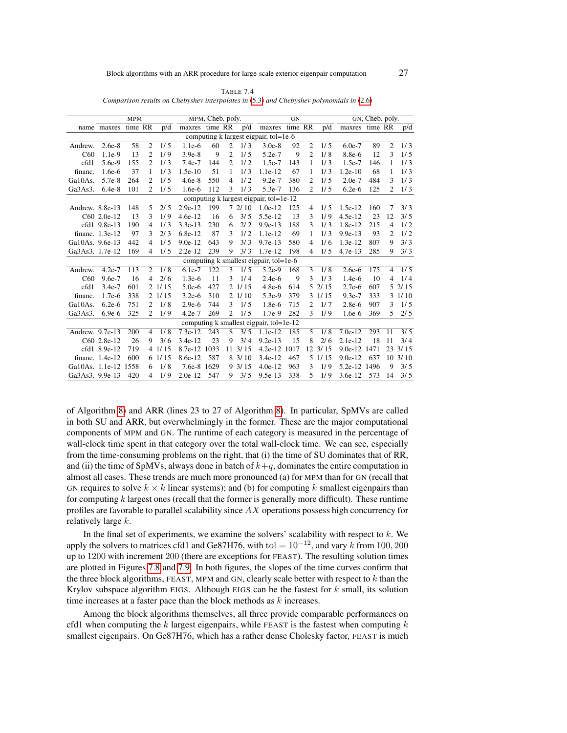<span id="page-26-0"></span>

| TABLE 7.4                                                                                    |
|----------------------------------------------------------------------------------------------|
| Comparison results on Chebyshev interpolates in $(5.3)$ and Chebyshev polynomials in $(2.6)$ |

|                 |                 | <b>MPM</b> |                |        |              | MPM, Cheb. poly. |                |                   |                                         | <b>GN</b> |                |                  | GN, Cheb. poly. |         |                |                  |
|-----------------|-----------------|------------|----------------|--------|--------------|------------------|----------------|-------------------|-----------------------------------------|-----------|----------------|------------------|-----------------|---------|----------------|------------------|
|                 | name maxres     | time RR    |                | p/d    | maxres       | time RR          |                | p/d               | maxres time RR                          |           |                | p/d              | maxres          | time RR |                | p/d              |
|                 |                 |            |                |        |              |                  |                |                   | computing k largest eigpair, tol=1e-6   |           |                |                  |                 |         |                |                  |
| Andrew.         | $2.6e-8$        | 58         | 2              | 1/5    | $1.1e-6$     | 60               | 2              | 1/3               | $3.0e-8$                                | 92        | 2              | 1/5              | $6.0e-7$        | 89      | 2              | $1/\overline{3}$ |
| C60             | $1.1e-9$        | 13         | $\overline{c}$ | 1/9    | $3.9e-8$     | 9                | $\overline{c}$ | 1/5               | $5.2e-7$                                | 9         | $\overline{c}$ | 1/8              | 8.8e-6          | 12      | 3              | 1/5              |
| cfd1            | 5.6e-9          | 155        | $\overline{2}$ | 1/3    | $7.4e-7$     | 144              | 2              | 1/2               | $1.5e-7$                                | 143       | 1              | 1/3              | $1.5e-7$        | 146     | 1              | 1/3              |
| financ.         | $1.6e-6$        | 37         | 1              | 1/3    | $1.5e-10$    | 51               | 1              | 1/3               | $1.1e-12$                               | 67        | 1              | 1/3              | $1.2e-10$       | 68      | 1              | 1/3              |
| Ga10As.         | 5.7e-8          | 264        | $\overline{c}$ | 1/5    | $4.6e-8$     | 550              | 4              | 1/2               | $9.2e-7$                                | 380       | $\mathfrak{D}$ | 1/5              | $2.0e-7$        | 484     | 3              | 1/3              |
| Ga3As3.         | $6.4e-8$        | 101        | 2              | 1/5    | $1.6e-6$     | 112              | 3              | 1/3               | 5.3e-7                                  | 136       | 2              | 1/5              | $6.2e-6$        | 125     | 2              | 1/3              |
|                 |                 |            |                |        |              |                  |                |                   | computing k largest eigpair, tol=1e-12  |           |                |                  |                 |         |                |                  |
| Andrew. 8.8e-13 |                 | 148        | 5              | 2/5    | $2.9e-12$    | 199              | 7              | 2/10              | $1.0e-12$                               | 125       | $\overline{4}$ | 1/5              | 1.5e-12         | 160     | 7              | 3/3              |
|                 | C60 2.0e-12     | 13         | 3              | 1/9    | $4.6e-12$    | 16               | 6              | 3/5               | 5.5e-12                                 | 13        | 3              | 1/9              | 4.5e-12         | 23      | 12             | 3/5              |
|                 | cfd1 9.8e-13    | 190        | $\overline{4}$ | 1/3    | $3.3e-13$    | 230              | 6              | 2/2               | $9.9e-13$                               | 188       | 3              | 1/3              | 1.8e-12         | 215     | 4              | 1/2              |
|                 | financ. 1.3e-12 | 97         | 3              | 2/3    | 6.8e-12      | 87               | 3              | 1/2               | $1.1e-12$                               | 69        | 1              | 1/3              | $9.9e-13$       | 93      | 2              | 1/2              |
| Ga10As. 9.6e-13 |                 | 442        | $\overline{4}$ | 1/5    | $9.0e-12$    | 643              | 9              | 3/3               | $9.7e-13$                               | 580       | 4              | 1/6              | $1.3e-12$       | 807     | 9              | 3/3              |
| Ga3As3. 1.7e-12 |                 | 169        | 4              | 1/5    | $2.2e-12$    | 239              | 9              | 3/3               | $1.7e-12$                               | 198       | 4              | 1/5              | 4.7e-13         | 285     | 9              | 3/3              |
|                 |                 |            |                |        |              |                  |                |                   | computing k smallest eigpair, tol=1e-6  |           |                |                  |                 |         |                |                  |
| Andrew.         | $4.2e-7$        | 113        | $\overline{c}$ | 1/8    | $6.1e-7$     | 122              | 3              | 1/5               | $5.2e-9$                                | 168       | 3              | 1/8              | $2.6e-6$        | 175     | $\overline{4}$ | 1/5              |
| C60             | $9.6e-7$        | 16         | $\overline{4}$ | 2/6    | $1.3e-6$     | 11               | 3              | 1/4               | $2.4e-6$                                | 9         | 3              | 1/3              | $1.4e-6$        | 10      | $\overline{4}$ | 1/4              |
| cfd1            | $3.4e-7$        | 601        |                | 21/15  | $5.0e-6$     | 427              |                | 21/15             | $4.8e-6$                                | 614       |                | 52/15            | $2.7e-6$        | 607     |                | 52/15            |
| financ.         | $1.7e-6$        | 338        |                | 2 1/15 | $3.2e-6$     | 310              |                | 21/10             | $5.3e-9$                                | 379       |                | $3 \frac{1}{15}$ | $9.3e-7$        | 333     |                | $3 \frac{1}{10}$ |
| Ga10As.         | $6.2e-6$        | 751        | 2              | 1/8    | $2.9e-6$     | 744              | 3              | 1/5               | 1.8e-6                                  | 715       | 2              | 1/7              | $2.8e-6$        | 907     | 3              | 1/5              |
| Ga3As3.         | $6.9e-6$        | 325        | $\overline{c}$ | 1/9    | $4.2e-7$     | 269              | $\overline{c}$ | 1/5               | 1.7e-9                                  | 282       | 3              | 1/9              | $1.6e-6$        | 369     | 5              | 2/5              |
|                 |                 |            |                |        |              |                  |                |                   | computing k smallest eigpair, tol=1e-12 |           |                |                  |                 |         |                |                  |
| Andrew. 9.7e-13 |                 | 200        | $\overline{4}$ | 1/8    | $7.3e-12$    | 243              | 8              | 3/5               | $1.1e-12$                               | 185       | 5              | 1/8              | $7.0e-12$       | 293     | 11             | $\overline{3/5}$ |
|                 | C60 2.8e-12     | 26         | 9              | 3/6    | $3.4e-12$    | 23               | 9              | 3/4               | $9.2e-13$                               | 15        | 8              | 2/6              | $2.1e-12$       | 18      | 11             | 3/4              |
|                 | cfd1 8.9e-12    | 719        |                | 41/15  | 8.7e-12 1033 |                  |                | $11 \frac{3}{15}$ | 4.2e-12 1017                            |           |                | 12 3/15          | 9.0e-12 1471    |         |                | 23 3/15          |
|                 | financ. 1.4e-12 | 600        |                | 6 1/15 | 8.6e-12      | 587              |                | 8, 3/10           | $3.4e-12$                               | 467       | 5              | 1/15             | $9.0e-12$       | 637     |                | 10, 3/10         |
| Ga10As. 1.1e-12 |                 | 1558       | 6              | 1/8    | $7.6e-8$     | 1629             |                | 93/15             | $4.0e-12$                               | 963       | 3              | 1/9              | 5.2e-12         | 1496    | 9              | 3/5              |
| Ga3As3. 9.9e-13 |                 | 420        | $\overline{4}$ | 1/9    | $2.0e-12$    | 547              | 9              | 3/5               | $9.5e-13$                               | 338       | 5              | 1/9              | $3.6e-12$       | 573     | 14             | 3/5              |

of Algorithm [8\)](#page-17-0) and ARR (lines 23 to 27 of Algorithm [8\)](#page-17-0). In particular, SpMVs are called in both SU and ARR, but overwhelmingly in the former. These are the major computational components of MPM and GN. The runtime of each category is measured in the percentage of wall-clock time spent in that category over the total wall-clock time. We can see, especially from the time-consuming problems on the right, that (i) the time of SU dominates that of RR, and (ii) the time of SpMVs, always done in batch of  $k+q$ , dominates the entire computation in almost all cases. These trends are much more pronounced (a) for MPM than for GN (recall that GN requires to solve  $k \times k$  linear systems); and (b) for computing k smallest eigenpairs than for computing k largest ones (recall that the former is generally more difficult). These runtime profiles are favorable to parallel scalability since  $AX$  operations possess high concurrency for relatively large k.

In the final set of experiments, we examine the solvers' scalability with respect to  $k$ . We apply the solvers to matrices cfd1 and Ge87H76, with tol =  $10^{-12}$ , and vary k from 100, 200 up to 1200 with increment 200 (there are exceptions for FEAST). The resulting solution times are plotted in Figures [7.8](#page-31-8) and [7.9.](#page-31-9) In both figures, the slopes of the time curves confirm that the three block algorithms, FEAST, MPM and GN, clearly scale better with respect to  $k$  than the Krylov subspace algorithm EIGS. Although EIGS can be the fastest for  $k$  small, its solution time increases at a faster pace than the block methods as  $k$  increases.

Among the block algorithms themselves, all three provide comparable performances on cfd1 when computing the  $k$  largest eigenpairs, while FEAST is the fastest when computing  $k$ smallest eigenpairs. On Ge87H76, which has a rather dense Cholesky factor, FEAST is much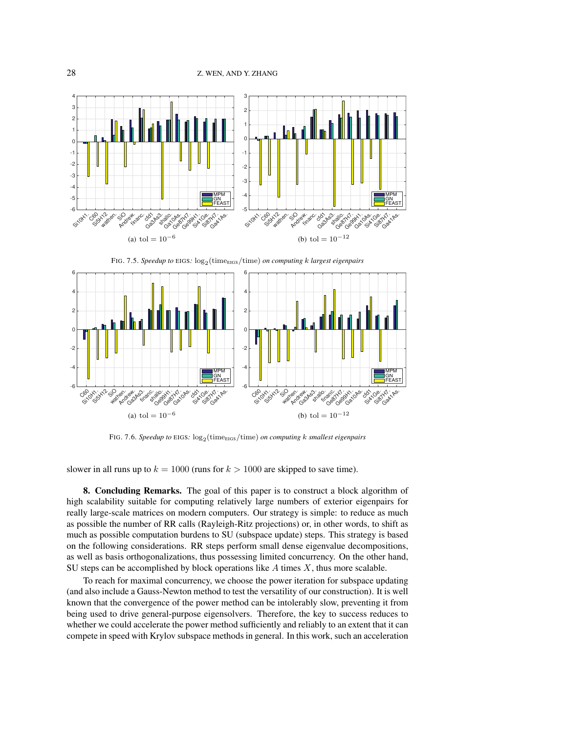

<span id="page-27-1"></span>FIG. 7.5. *Speedup to* EIGS:  $\log_2(\text{time}_{\text{EIGS}}/\text{time})$  *on computing k largest eigenpairs* 



<span id="page-27-2"></span>FIG. 7.6. *Speedup to* EIGS:  $\log_2(\text{time}_{\text{EIGS}}/\text{time})$  *on computing k smallest eigenpairs* 

slower in all runs up to  $k = 1000$  (runs for  $k > 1000$  are skipped to save time).

<span id="page-27-0"></span>8. Concluding Remarks. The goal of this paper is to construct a block algorithm of high scalability suitable for computing relatively large numbers of exterior eigenpairs for really large-scale matrices on modern computers. Our strategy is simple: to reduce as much as possible the number of RR calls (Rayleigh-Ritz projections) or, in other words, to shift as much as possible computation burdens to SU (subspace update) steps. This strategy is based on the following considerations. RR steps perform small dense eigenvalue decompositions, as well as basis orthogonalizations, thus possessing limited concurrency. On the other hand, SU steps can be accomplished by block operations like  $A$  times  $X$ , thus more scalable.

To reach for maximal concurrency, we choose the power iteration for subspace updating (and also include a Gauss-Newton method to test the versatility of our construction). It is well known that the convergence of the power method can be intolerably slow, preventing it from being used to drive general-purpose eigensolvers. Therefore, the key to success reduces to whether we could accelerate the power method sufficiently and reliably to an extent that it can compete in speed with Krylov subspace methods in general. In this work, such an acceleration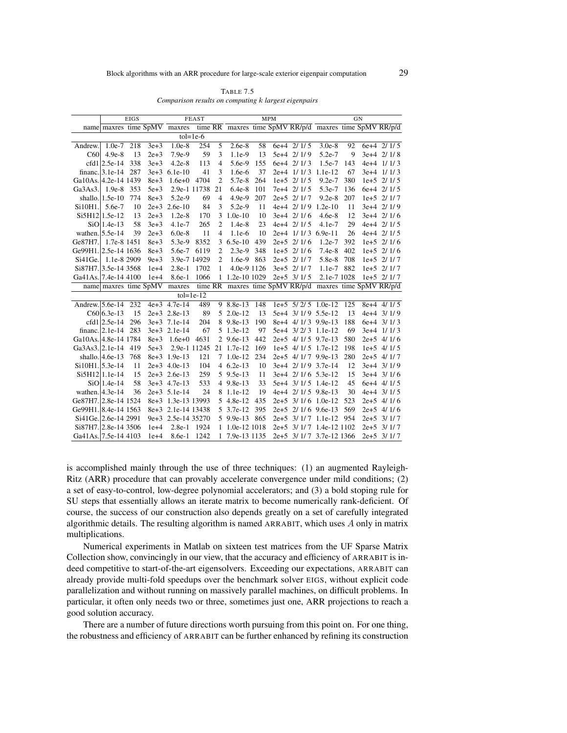<span id="page-28-0"></span>

| TABLE 7.5                                            |  |
|------------------------------------------------------|--|
| Comparison results on computing k largest eigenpairs |  |

|                                        |                       | <b>EIGS</b> |                   |                              | <b>FEAST</b>  |                |                |     | <b>MPM</b> |                | GN                                                      |     |  |                |  |
|----------------------------------------|-----------------------|-------------|-------------------|------------------------------|---------------|----------------|----------------|-----|------------|----------------|---------------------------------------------------------|-----|--|----------------|--|
|                                        |                       |             |                   | name maxres time SpMV maxres |               |                |                |     |            |                | time RR maxres time SpMV RR/p/d maxres time SpMV RR/p/d |     |  |                |  |
|                                        |                       |             |                   |                              | $tol = 1e-6$  |                |                |     |            |                |                                                         |     |  |                |  |
| Andrew.                                | $1.0e-7$              | 218         | $\overline{3}e+3$ | $1.0e-8$                     | 254           | 5              | $2.6e-8$       | 58  |            | $6e+4$ $2/1/5$ | $3.0e-8$                                                | 92  |  | $6e+4$ 2/ 1/ 5 |  |
| C60                                    | $4.9e-8$              | 13          | $2e+3$            | $7.9e-9$                     | 59            | 3              | $1.1e-9$       | 13  |            | 5e+4 2/1/9     | 5.2e-7                                                  | 9   |  | $3e+4$ 2/ 1/8  |  |
|                                        | $cfd1 2.5e-14$        | 338         | $3e+3$            | $4.2e-8$                     | 113           | 4              | 5.6e-9         | 155 |            | $6e+4$ 2/ 1/ 3 | 1.5e-7                                                  | 143 |  | $4e+4$ $1/1/3$ |  |
|                                        | financ. $ 3.1e-14 $   | 287         |                   | $3e+3$ 6.1e-10               | 41            | 3              | 1.6e-6         | 37  |            |                | 2e+4 1/1/3 1.1e-12                                      | 67  |  | $3e+4$ $1/1/3$ |  |
| Ga10As. 4.2e-14 1439                   |                       |             | $8e+3$            | $1.6e+0$                     | 4704          | $\overline{2}$ | 5.7e-8         | 264 |            | $1e+5$ 2/ 1/ 5 | $9.2e-7$                                                | 380 |  | $1e+5$ 2/ 1/ 5 |  |
| Ga3As3.                                | $1.9e-8$              | 353         | $5e+3$            | 2.9e-1 11738                 |               | 21             | $6.4e-8$       | 101 |            | 7e+4 2/1/5     | 5.3e-7                                                  | 136 |  | 6e+4 2/1/5     |  |
|                                        | shallo. 1.5e-10       | 774         | $8e+3$            | $5.2e-9$                     | 69            | $\overline{4}$ | $4.9e-9$       | 207 |            | $2e+5$ 2/1/7   | $9.2e-8$                                                | 207 |  | $1e+5$ 2/1/7   |  |
| Si10H1.                                | 5.6e-7                | 10          |                   | 2e+3 2.6e-10                 | 84            | 3              | $5.2e-9$       | 11  |            | $4e+4$ 2/1/9   | $1.2e-10$                                               | 11  |  | $3e+4$ 2/1/9   |  |
|                                        | Si5H12 1.5e-12        | 13          | $2e+3$            | $1.2e-8$                     | 170           | 3              | $1.0e-10$      | 10  |            | $3e+4$ 2/ 1/6  | $4.6e-8$                                                | 12  |  | $3e+4$ 2/ 1/6  |  |
|                                        | $SiO$   1.4e-13       | 58          | $3e+3$            | 4.1e-7                       | 265           | $\overline{2}$ | $1.4e-8$       | 23  |            | $4e+4$ 2/ 1/ 5 | $4.1e-7$                                                | 29  |  | $4e+4$ 2/ 1/ 5 |  |
| wathen. $5.5e-14$                      |                       | 39          | $2e+3$            | $6.0e-8$                     | 11            | 4              | $1.1e-6$       | 10  |            |                | 2e+4 1/1/3 6.9e-11                                      | 26  |  | $4e+4$ 2/ 1/ 5 |  |
| Ge87H7.                                | 1.7e-8 1451           |             | $8e+3$            | $5.3e-9$                     | 8352          |                | 3 $6.5e-10$    | 439 |            | $2e+5$ 2/1/6   | $1.2e-7$                                                | 392 |  | $1e+5$ 2/ 1/6  |  |
| Ge99H1.22.5e-14 1636                   |                       |             | $8e+3$            | 5.6e-7 6119                  |               | $\overline{2}$ | $2.3e-9$       | 348 |            | $1e+5$ 2/1/6   | $7.4e-8$                                                | 402 |  | $1e+5$ 2/ 1/6  |  |
| Si41Ge.                                | 1.1e-8 2909           |             | $9e+3$            | 3.9e-7 14929                 |               | 2              | $1.6e-9$       | 863 |            | $2e+5$ 2/1/7   | 5.8e-8                                                  | 708 |  | $1e+5$ 2/1/7   |  |
| Si87H7. 3.5e-14 3568                   |                       |             | $1e+4$            | $2.8e-1$                     | 1702          | 1              | 4.0e-9 1126    |     |            | $3e+5$ 2/1/7   | $1.1e-7$                                                | 882 |  | $1e+5$ 2/1/7   |  |
| Ga41As. 7.4e-14 4100                   |                       |             | $1e+4$            | 8.6e-1                       | 1066          |                | 1 1.2e-10 1029 |     |            | $2e+5$ 3/1/5   | 2.1e-7 1028                                             |     |  | $1e+5$ 2/1/7   |  |
|                                        | name maxres time SpMV |             |                   | maxres                       |               |                |                |     |            |                | time RR maxres time SpMV RR/p/d maxres time SpMV RR/p/d |     |  |                |  |
|                                        |                       |             |                   |                              | $tol = 1e-12$ |                |                |     |            |                |                                                         |     |  |                |  |
| $\overline{\text{Andrew.}\, 5.6e}$ -14 |                       | 232         |                   | $4e+3$ 4.7e-14               | 489           |                | 9 8.8e-13      | 148 |            |                | $1e+5$ 5/2/5 1.0e-12                                    | 125 |  | 8e+4 4/1/5     |  |
|                                        | $C60 6.3e-13$         | 15          |                   | $2e+3$ 2.8e-13               | 89            |                | 5 2.0e-12      | 13  |            |                | 5e+4 3/1/9 5.5e-12                                      | 13  |  | $4e+4$ 3/1/9   |  |
|                                        | $cfd1 2.5e-14$        | 296         |                   | 3e+3 7.1e-14                 | 204           |                | 8 9.8e-13      | 190 |            |                | 8e+4 4/1/3 9.9e-13                                      | 188 |  | $6e+4$ 3/1/3   |  |
|                                        | financ. 2.1e-14       | 283         |                   | 3e+3 2.1e-14                 | 67            |                | 5 1.3e-12      | 97  |            |                | 5e+4 3/2/3 1.1e-12                                      | 69  |  | $3e+4$ 1/1/3   |  |
| Ga10As. 4.8e-14 1784                   |                       |             | $8e+3$            | $1.6e+0$                     | 4631          |                | 2 9.6e-13      | 442 |            |                | 2e+5 4/1/5 9.7e-13                                      | 580 |  | $2e+5$ 4/1/6   |  |
| Ga3As3. 2.1e-14                        |                       | 419         | $5e+3$            | 2.9e-1 11245                 |               |                | 21 1.7e-12     | 169 |            |                | $1e+5$ 4/1/5 1.7e-12                                    | 198 |  | $1e+5$ 4/1/5   |  |
|                                        | shallo. 4.6e-13       | 768         |                   | 8e+3 1.9e-13                 | 121           |                | $7 \t1.0e-12$  | 234 |            |                | 2e+5 4/1/7 9.9e-13                                      | 280 |  | $2e+5$ 4/1/7   |  |
| Si10H1. 5.3e-14                        |                       | 11          |                   | $2e+3$ 4.0e-13               | 104           |                | 4 $6.2e-13$    | 10  |            |                | 3e+4 2/1/9 3.7e-14                                      | 12  |  | $3e+4$ $3/1/9$ |  |
|                                        | Si5H12 1.1e-14        | 15          |                   | 2e+3 2.6e-13                 | 259           |                | 5 9.5e-13      | 11  |            |                | 3e+4 2/1/6 5.3e-12                                      | 15  |  | $3e+4$ $3/1/6$ |  |
|                                        | $SiO$ 1.4e-14         | 58          |                   | 3e+3 4.7e-13                 | 533           |                | 4 9.8e-13      | 33  |            |                | 5e+4 3/1/5 1.4e-12                                      | 45  |  | $6e+4$ 4/ 1/ 5 |  |
| wathen. $ 4.3e-14$                     |                       | 36          |                   | $2e+3$ 5.1e-14               | 24            |                | 8 1.1e-12      | 19  |            |                | 4e+4 2/1/5 9.8e-13                                      | 30  |  | $4e+4$ 3/1/5   |  |
| Ge87H7. 2.8e-14 1524                   |                       |             |                   | 8e+3 1.3e-13 13993           |               |                | 5 4.8e-12      | 435 |            |                | 2e+5 3/1/6 1.0e-12                                      | 523 |  | $2e+5$ 4/1/6   |  |
| Ge99H1. 8.4e-14 1563                   |                       |             |                   | 8e+3 2.1e-14 13438           |               |                | 5 3.7e-12      | 395 |            |                | 2e+5 2/1/6 9.6e-13                                      | 569 |  | $2e+5$ 4/1/6   |  |
| Si41Ge. 2.6e-14 2991                   |                       |             |                   | 9e+3 2.5e-14 35270           |               |                | 5 9.9e-13      | 865 |            |                | $2e+5$ 3/1/7 1.1e-12                                    | 954 |  | $2e+5$ 3/1/7   |  |
| Si87H7. 2.8e-14 3506                   |                       |             | $1e+4$            | 2.8e-1 1924                  |               |                | 1 1.0e-12 1018 |     |            |                | 2e+5 3/1/7 1.4e-12 1102                                 |     |  | $2e+5$ 3/1/7   |  |
| Ga41As. 7.5e-14 4103                   |                       |             | $1e+4$            | 8.6e-1 1242                  |               |                | 1 7.9e-13 1135 |     |            |                | 2e+5 3/1/7 3.7e-12 1366                                 |     |  | $2e+5$ 3/1/7   |  |

is accomplished mainly through the use of three techniques: (1) an augmented Rayleigh-Ritz (ARR) procedure that can provably accelerate convergence under mild conditions; (2) a set of easy-to-control, low-degree polynomial accelerators; and (3) a bold stoping rule for SU steps that essentially allows an iterate matrix to become numerically rank-deficient. Of course, the success of our construction also depends greatly on a set of carefully integrated algorithmic details. The resulting algorithm is named ARRABIT, which uses  $\vec{A}$  only in matrix multiplications.

Numerical experiments in Matlab on sixteen test matrices from the UF Sparse Matrix Collection show, convincingly in our view, that the accuracy and efficiency of ARRABIT is indeed competitive to start-of-the-art eigensolvers. Exceeding our expectations, ARRABIT can already provide multi-fold speedups over the benchmark solver EIGS, without explicit code parallelization and without running on massively parallel machines, on difficult problems. In particular, it often only needs two or three, sometimes just one, ARR projections to reach a good solution accuracy.

There are a number of future directions worth pursuing from this point on. For one thing, the robustness and efficiency of ARRABIT can be further enhanced by refining its construction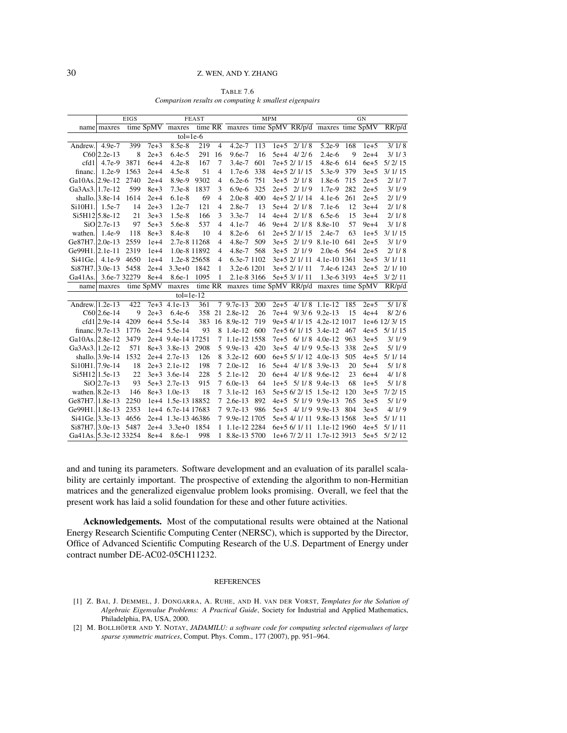<span id="page-29-2"></span>

| TABLE 7.6                                             |  |
|-------------------------------------------------------|--|
| Comparison results on computing k smallest eigenpairs |  |

|                       |                    | <b>EIGS</b>  |           |                    | <b>FEAST</b> |                |                |     | <b>MPM</b> |                       |                                                  |     | GN     |                |
|-----------------------|--------------------|--------------|-----------|--------------------|--------------|----------------|----------------|-----|------------|-----------------------|--------------------------------------------------|-----|--------|----------------|
|                       | name maxres        |              |           | time SpMV maxres   |              |                |                |     |            |                       | time RR maxres time SpMV RR/p/d maxres time SpMV |     |        | RR/p/d         |
|                       |                    |              |           | $tol = 1e-6$       |              |                |                |     |            |                       |                                                  |     |        |                |
| Andrew.               | $4.9e-7$           | 399          | $7e+3$    | 8.5e-8             | 219          | $\overline{4}$ | $4.2e-7$       | 113 |            | $1e+5$ 2/1/8          | $5.2e-9$                                         | 168 | $1e+5$ | 3/1/8          |
|                       | $C60 2.2e-13$      | 8            | $2e+3$    | $6.4e-5$           | 291          | 16             | $9.6e-7$       | 16  |            | $5e+4$ 4/2/6          | $2.4e-6$                                         | 9   | $2e+4$ | 3/1/3          |
| cfd1                  | 4.7e-9             | 3871         | $6e+4$    | $4.2e-8$           | 167          | 7              | $3.4e-7$       | 601 |            | 7e+5 2/ 1/ 15         | $4.8e-6$                                         | 614 | $6e+5$ | 5/2/15         |
| financ.               | $1.2e-9$           | 1563         | $2e+4$    | $4.5e-8$           | 51           | 4              | $1.7e-6$       | 338 |            | 4e+5 2/ 1/ 15         | 5.3e-9                                           | 379 | $3e+5$ | 3/1/15         |
| Ga10As. 2.9e-12       |                    | 2740         | $2e+4$    | 8.9e-9             | 9302         | 4              | $6.2e-6$       | 751 |            | $3e+5$ 2/1/8          | 1.8e-6                                           | 715 | $2e+5$ | 2/1/7          |
| Ga3As3. 1.7e-12       |                    | 599          | $8e+3$    | $7.3e-8$           | 1837         | 3              | $6.9e-6$       | 325 |            | $2e+5$ 2/1/9          | 1.7e-9                                           | 282 | $2e+5$ | 3/1/9          |
|                       | shallo. 3.8e-14    | 1614         | $2e+4$    | $6.1e-8$           | 69           | 4              | $2.0e-8$       | 400 |            | 4e+5 2/ 1/ 14         | $4.1e-6$                                         | 261 | $2e+5$ | 2/1/9          |
| Si10H1.               | $1.5e-7$           | 14           | $2e + 3$  | $1.2e-7$           | 121          | 4              | 2.8e-7         | 13  |            | $5e+4$ 2/ 1/8         | $7.1e-6$                                         | 12  | $3e+4$ | 2/1/8          |
|                       | Si5H12 5.8e-12     | 21           | $3e+3$    | $1.5e-8$           | 166          | 3              | $3.3e-7$       | 14  |            | $4e+4$ 2/1/8          | $6.5e-6$                                         | 15  | $3e+4$ | 2/1/8          |
|                       | $SiO2.7e-13$       | 97           | $5e+3$    | 5.6e-8             | 537          | 4              | 4.1e-7         | 46  |            | $9e+4$ 2/ 1/8         | $8.8e-10$                                        | 57  | $9e+4$ | 3/1/8          |
| wathen.               | $1.4e-9$           | 118          | $8e+3$    | 8.4e-8             | 10           | 4              | $8.2e-6$       | 61  |            | 2e+5 2/ 1/ 15         | $2.4e-7$                                         | 63  | $1e+5$ | 3/1/15         |
| Ge87H7.12.0e-13       |                    | 2559         | $1e+4$    | 2.7e-8 11268       |              | 4              | $4.8e-7$       | 509 |            | $3e+5$ 2/1/9          | $8.1e-10$                                        | 641 | $2e+5$ | 3/1/9          |
| Ge99H1. 2.1e-11       |                    | 2319         | $1e+4$    | 1.0e-8 11892       |              | 4              | 4.8e-7         | 568 |            | $3e+5$ 2/1/9          | $2.0e-6$                                         | 564 | $2e+5$ | 2/1/8          |
| Si41Ge.               | $4.1e-9$           | 4650         | $1e+4$    | 1.2e-8 25658       |              | 4              | 6.3e-7 1102    |     |            |                       | 3e+5 2/ 1/ 11 4.1e-10 1361                       |     | $3e+5$ | 3/1/11         |
| $Si87H7.3.0e-13$      |                    | 5458         | $2e+4$    | $3.3e+0$           | 1842         | 1              | 3.2e-6 1201    |     |            | 3e+5 2/ 1/ 11         | 7.4e-6 1243                                      |     | $2e+5$ | 2/1/10         |
| Ga41As.               |                    | 3.6e-7 32279 | $8e+4$    | 8.6e-1             | 1095         | 1              | 2.1e-8 3166    |     |            | 5e+5 3/ 1/ 11         | 1.3e-6 3193                                      |     | $4e+5$ | 3/2/11         |
|                       | name maxres        |              | time SpMV | maxres             |              |                |                |     |            |                       | time RR maxres time SpMV RR/p/d maxres time SpMV |     |        | RR/p/d         |
|                       |                    |              |           | $tol = 1e-12$      |              |                |                |     |            |                       |                                                  |     |        |                |
| Andrew. 1.2e-13       |                    | 422          |           | $7e+3$ 4.1e-13     | 361          |                | $7\,9.7e-13$   | 200 | $2e + 5$   |                       | $4/1/8$ 1.1e-12                                  | 185 | $2e+5$ | $\frac{5}{18}$ |
|                       | $C60 2.6e-14$      | 9            | $2e+3$    | $6.4e-6$           | 358          |                | 21 2.8e-12     | 26  |            | 7e+4 9/3/6 9.2e-13    |                                                  | 15  | $4e+4$ | 8/2/6          |
|                       | $cfd1 2.9e-14$     | 4209         |           | 6e+4 5.5e-14       | 383          |                | 16 8.9e-12     | 719 |            |                       | 9e+5 4/ 1/ 15 4.2e-12 1017                       |     |        | 1e+6 12/3/15   |
|                       | financ. $ 9.7e-13$ | 1776         |           | 2e+4 5.5e-14       | 93           |                | 8 1.4e-12      | 600 |            | 7e+5 6/ 1/ 15 3.4e-12 |                                                  | 467 | $4e+5$ | 5/1/15         |
| Ga10As. 2.8e-12       |                    | 3479         |           | 2e+4 9.4e-14 17251 |              |                | 7 1.1e-12 1558 |     |            | 7e+5 6/1/8 4.0e-12    |                                                  | 963 | $3e+5$ | 3/1/9          |
| Ga3As3. 1.2e-12       |                    | 571          |           | 8e+3 3.8e-13       | 2908         |                | 5 9.9e-13      | 420 |            | 3e+5 4/1/9 9.5e-13    |                                                  | 338 | $2e+5$ | 5/1/9          |
|                       | shallo. $3.9e-14$  | 1532         |           | 2e+4 2.7e-13       | 126          |                | 8 3.2e-12      | 600 |            | 6e+5 5/ 1/ 12 4.0e-13 |                                                  | 505 | $4e+5$ | 5/1/14         |
| Si10H1. 7.9e-14       |                    | 18           |           | 2e+3 2.1e-12       | 198          |                | 7 2.0e-12      | 16  |            | 5e+4 4/1/8 3.9e-13    |                                                  | 20  | $5e+4$ | 5/1/8          |
|                       | Si5H12 1.5e-13     | 22           |           | $3e+3$ 3.6e-14     | 228          |                | 5 2.1e-12      | 20  | 6e+4       |                       | $4/1/8$ 9.6e-12                                  | 23  | $6e+4$ | 4/1/8          |
|                       | $SiO$  2.7e-13     | 93           |           | 5e+3 2.7e-13       | 915          |                | 7 6.0e-13      | 64  |            | $1e+5$ 5/1/8 9.4e-13  |                                                  | 68  | $1e+5$ | 5/1/8          |
| wathen. $ 8.2e-13$    |                    | 146          |           | $8e+3$ 1.0e-13     | 18           |                | 7 3.1e-12      | 163 |            | 5e+5 6/2/15 1.5e-12   |                                                  | 120 | $3e+5$ | 7/2/15         |
| Ge87H7. 1.8e-13       |                    | 2250         |           | 1e+4 1.5e-13 18852 |              |                | 7 2.6e-13      | 892 |            | 4e+5 5/1/9 9.9e-13    |                                                  | 765 | $3e+5$ | 5/1/9          |
| Ge99H1. 1.8e-13       |                    | 2353         |           | 1e+4 6.7e-14 17683 |              |                | 7 9.7e-13      | 986 |            | 5e+5 4/1/9 9.9e-13    |                                                  | 804 | $3e+5$ | 4/1/9          |
| Si41Ge. 3.3e-13       |                    | 4656         |           | 2e+4 1.3e-13 46386 |              |                | 7 9.9e-12 1705 |     |            |                       | 5e+5 4/ 1/ 11 9.8e-13 1568                       |     | $3e+5$ | 5/1/11         |
| Si87H7. 3.0e-13       |                    | 5487         | $2e+4$    | $3.3e+0$           | 1854         |                | 1 1.1e-12 2284 |     |            |                       | 6e+5 6/ 1/ 11 1.1e-12 1960                       |     | $4e+5$ | 5/1/11         |
| Ga41As. 5.3e-12 33254 |                    |              | $8e+4$    | 8.6e-1             | 998          |                | 1 8.8e-13 5700 |     |            |                       | 1e+6 7/2/11 1.7e-12 3913                         |     | $5e+5$ | 5/2/12         |

and and tuning its parameters. Software development and an evaluation of its parallel scalability are certainly important. The prospective of extending the algorithm to non-Hermitian matrices and the generalized eigenvalue problem looks promising. Overall, we feel that the present work has laid a solid foundation for these and other future activities.

Acknowledgements. Most of the computational results were obtained at the National Energy Research Scientific Computing Center (NERSC), which is supported by the Director, Office of Advanced Scientific Computing Research of the U.S. Department of Energy under contract number DE-AC02-05CH11232.

### REFERENCES

- <span id="page-29-0"></span>[1] Z. BAI, J. DEMMEL, J. DONGARRA, A. RUHE, AND H. VAN DER VORST, *Templates for the Solution of Algebraic Eigenvalue Problems: A Practical Guide*, Society for Industrial and Applied Mathematics, Philadelphia, PA, USA, 2000.
- <span id="page-29-1"></span>[2] M. BOLLHÖFER AND Y. NOTAY, *JADAMILU: a software code for computing selected eigenvalues of large sparse symmetric matrices*, Comput. Phys. Comm., 177 (2007), pp. 951–964.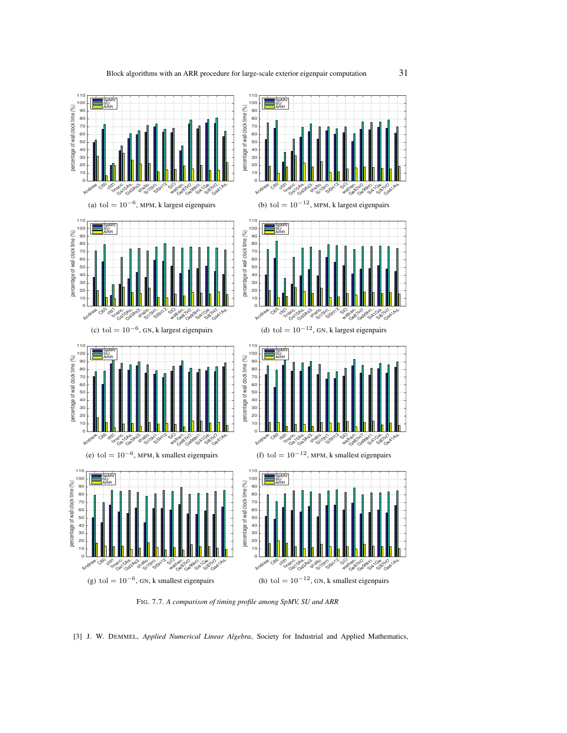

<span id="page-30-1"></span>FIG. 7.7. *A comparison of timing profile among SpMV, SU and ARR*

<span id="page-30-0"></span>[3] J. W. DEMMEL, *Applied Numerical Linear Algebra*, Society for Industrial and Applied Mathematics,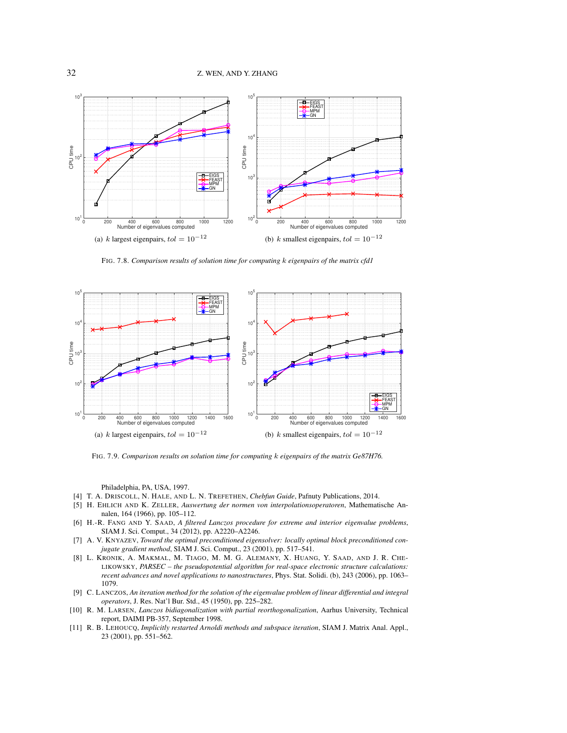

<span id="page-31-8"></span>FIG. 7.8. *Comparison results of solution time for computing* k *eigenpairs of the matrix cfd1*



<span id="page-31-9"></span>FIG. 7.9. *Comparison results on solution time for computing* k *eigenpairs of the matrix Ge87H76.*

Philadelphia, PA, USA, 1997.

- <span id="page-31-6"></span>[4] T. A. DRISCOLL, N. HALE, AND L. N. TREFETHEN, *Chebfun Guide*, Pafnuty Publications, 2014.
- <span id="page-31-5"></span>[5] H. EHLICH AND K. ZELLER, *Auswertung der normen von interpolationsoperatoren*, Mathematische Annalen, 164 (1966), pp. 105–112.
- <span id="page-31-4"></span>[6] H.-R. FANG AND Y. SAAD, *A filtered Lanczos procedure for extreme and interior eigenvalue problems*, SIAM J. Sci. Comput., 34 (2012), pp. A2220–A2246.
- <span id="page-31-3"></span>[7] A. V. KNYAZEV, *Toward the optimal preconditioned eigensolver: locally optimal block preconditioned conjugate gradient method*, SIAM J. Sci. Comput., 23 (2001), pp. 517–541.
- <span id="page-31-7"></span>[8] L. KRONIK, A. MAKMAL, M. TIAGO, M. M. G. ALEMANY, X. HUANG, Y. SAAD, AND J. R. CHE-LIKOWSKY, *PARSEC – the pseudopotential algorithm for real-space electronic structure calculations: recent advances and novel applications to nanostructures*, Phys. Stat. Solidi. (b), 243 (2006), pp. 1063– 1079.
- <span id="page-31-0"></span>[9] C. LANCZOS, *An iteration method for the solution of the eigenvalue problem of linear differential and integral operators*, J. Res. Nat'l Bur. Std., 45 (1950), pp. 225–282.
- <span id="page-31-2"></span>[10] R. M. LARSEN, *Lanczos bidiagonalization with partial reorthogonalization*, Aarhus University, Technical report, DAIMI PB-357, September 1998.
- <span id="page-31-1"></span>[11] R. B. LEHOUCQ, *Implicitly restarted Arnoldi methods and subspace iteration*, SIAM J. Matrix Anal. Appl., 23 (2001), pp. 551–562.